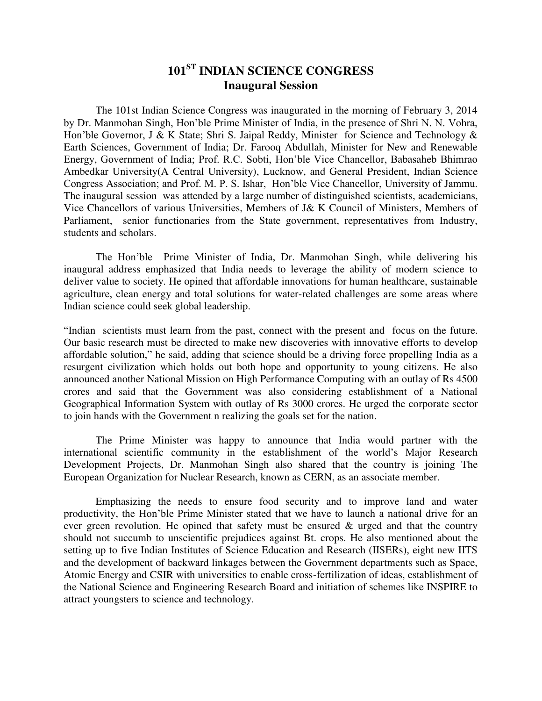### **101ST INDIAN SCIENCE CONGRESS Inaugural Session**

The 101st Indian Science Congress was inaugurated in the morning of February 3, 2014 by Dr. Manmohan Singh, Hon'ble Prime Minister of India, in the presence of Shri N. N. Vohra, Hon'ble Governor, J & K State; Shri S. Jaipal Reddy, Minister for Science and Technology & Earth Sciences, Government of India; Dr. Farooq Abdullah, Minister for New and Renewable Energy, Government of India; Prof. R.C. Sobti, Hon'ble Vice Chancellor, Babasaheb Bhimrao Ambedkar University(A Central University), Lucknow, and General President, Indian Science Congress Association; and Prof. M. P. S. Ishar, Hon'ble Vice Chancellor, University of Jammu. The inaugural session was attended by a large number of distinguished scientists, academicians, Vice Chancellors of various Universities, Members of J& K Council of Ministers, Members of Parliament, senior functionaries from the State government, representatives from Industry, students and scholars.

 The Hon'ble Prime Minister of India, Dr. Manmohan Singh, while delivering his inaugural address emphasized that India needs to leverage the ability of modern science to deliver value to society. He opined that affordable innovations for human healthcare, sustainable agriculture, clean energy and total solutions for water-related challenges are some areas where Indian science could seek global leadership.

"Indian scientists must learn from the past, connect with the present and focus on the future. Our basic research must be directed to make new discoveries with innovative efforts to develop affordable solution," he said, adding that science should be a driving force propelling India as a resurgent civilization which holds out both hope and opportunity to young citizens. He also announced another National Mission on High Performance Computing with an outlay of Rs 4500 crores and said that the Government was also considering establishment of a National Geographical Information System with outlay of Rs 3000 crores. He urged the corporate sector to join hands with the Government n realizing the goals set for the nation.

The Prime Minister was happy to announce that India would partner with the international scientific community in the establishment of the world's Major Research Development Projects, Dr. Manmohan Singh also shared that the country is joining The European Organization for Nuclear Research, known as CERN, as an associate member.

Emphasizing the needs to ensure food security and to improve land and water productivity, the Hon'ble Prime Minister stated that we have to launch a national drive for an ever green revolution. He opined that safety must be ensured  $\&$  urged and that the country should not succumb to unscientific prejudices against Bt. crops. He also mentioned about the setting up to five Indian Institutes of Science Education and Research (IISERs), eight new IITS and the development of backward linkages between the Government departments such as Space, Atomic Energy and CSIR with universities to enable cross-fertilization of ideas, establishment of the National Science and Engineering Research Board and initiation of schemes like INSPIRE to attract youngsters to science and technology.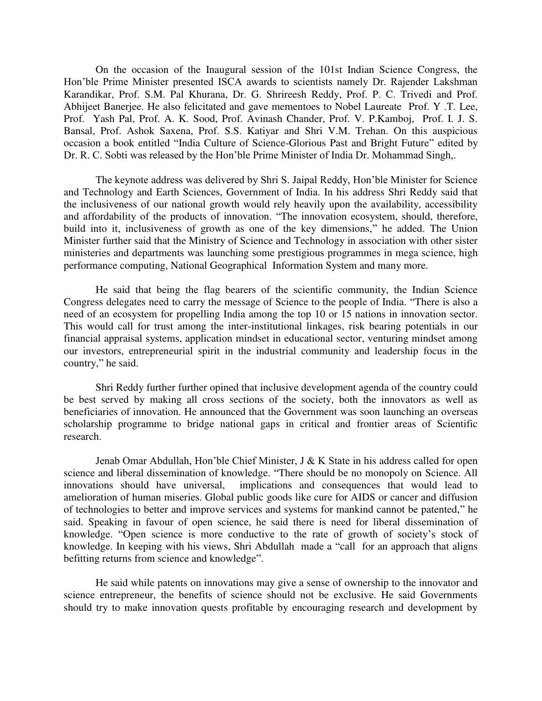On the occasion of the Inaugural session of the 101st Indian Science Congress, the Hon'ble Prime Minister presented ISCA awards to scientists namely Dr. Rajender Lakshman Karandikar, Prof. S.M. Pal Khurana, Dr. G. Shrireesh Reddy, Prof. P. C. Trivedi and Prof. Abhijeet Banerjee. He also felicitated and gave mementoes to Nobel Laureate Prof. Y .T. Lee, Prof. Yash Pal, Prof. A. K. Sood, Prof. Avinash Chander, Prof. V. P.Kamboj, Prof. I. J. S. Bansal, Prof. Ashok Saxena, Prof. S.S. Katiyar and Shri V.M. Trehan. On this auspicious occasion a book entitled "India Culture of Science-Glorious Past and Bright Future" edited by Dr. R. C. Sobti was released by the Hon'ble Prime Minister of India Dr. Mohammad Singh,.

The keynote address was delivered by Shri S. Jaipal Reddy, Hon'ble Minister for Science and Technology and Earth Sciences, Government of India. In his address Shri Reddy said that the inclusiveness of our national growth would rely heavily upon the availability, accessibility and affordability of the products of innovation. "The innovation ecosystem, should, therefore, build into it, inclusiveness of growth as one of the key dimensions," he added. The Union Minister further said that the Ministry of Science and Technology in association with other sister ministeries and departments was launching some prestigious programmes in mega science, high performance computing, National Geographical Information System and many more.

He said that being the flag bearers of the scientific community, the Indian Science Congress delegates need to carry the message of Science to the people of India. "There is also a need of an ecosystem for propelling India among the top 10 or 15 nations in innovation sector. This would call for trust among the inter-institutional linkages, risk bearing potentials in our financial appraisal systems, application mindset in educational sector, venturing mindset among our investors, entrepreneurial spirit in the industrial community and leadership focus in the country," he said.

Shri Reddy further further opined that inclusive development agenda of the country could be best served by making all cross sections of the society, both the innovators as well as beneficiaries of innovation. He announced that the Government was soon launching an overseas scholarship programme to bridge national gaps in critical and frontier areas of Scientific research.

Jenab Omar Abdullah, Hon'ble Chief Minister, J & K State in his address called for open science and liberal dissemination of knowledge. "There should be no monopoly on Science. All innovations should have universal, implications and consequences that would lead to amelioration of human miseries. Global public goods like cure for AIDS or cancer and diffusion of technologies to better and improve services and systems for mankind cannot be patented," he said. Speaking in favour of open science, he said there is need for liberal dissemination of knowledge. "Open science is more conductive to the rate of growth of society's stock of knowledge. In keeping with his views, Shri Abdullah made a "call for an approach that aligns befitting returns from science and knowledge".

He said while patents on innovations may give a sense of ownership to the innovator and science entrepreneur, the benefits of science should not be exclusive. He said Governments should try to make innovation quests profitable by encouraging research and development by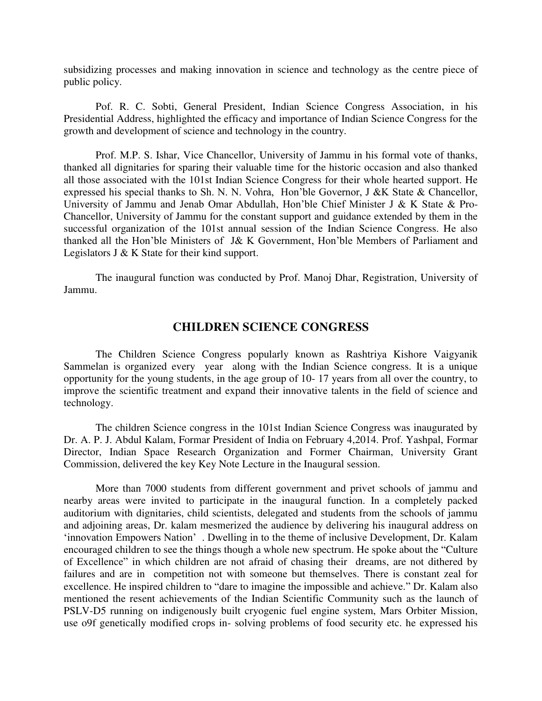subsidizing processes and making innovation in science and technology as the centre piece of public policy.

Pof. R. C. Sobti, General President, Indian Science Congress Association, in his Presidential Address, highlighted the efficacy and importance of Indian Science Congress for the growth and development of science and technology in the country.

Prof. M.P. S. Ishar, Vice Chancellor, University of Jammu in his formal vote of thanks, thanked all dignitaries for sparing their valuable time for the historic occasion and also thanked all those associated with the 101st Indian Science Congress for their whole hearted support. He expressed his special thanks to Sh. N. N. Vohra, Hon'ble Governor, J &K State & Chancellor, University of Jammu and Jenab Omar Abdullah, Hon'ble Chief Minister J & K State & Pro-Chancellor, University of Jammu for the constant support and guidance extended by them in the successful organization of the 101st annual session of the Indian Science Congress. He also thanked all the Hon'ble Ministers of J& K Government, Hon'ble Members of Parliament and Legislators J & K State for their kind support.

The inaugural function was conducted by Prof. Manoj Dhar, Registration, University of Jammu.

#### **CHILDREN SCIENCE CONGRESS**

The Children Science Congress popularly known as Rashtriya Kishore Vaigyanik Sammelan is organized every year along with the Indian Science congress. It is a unique opportunity for the young students, in the age group of 10- 17 years from all over the country, to improve the scientific treatment and expand their innovative talents in the field of science and technology.

The children Science congress in the 101st Indian Science Congress was inaugurated by Dr. A. P. J. Abdul Kalam, Formar President of India on February 4,2014. Prof. Yashpal, Formar Director, Indian Space Research Organization and Former Chairman, University Grant Commission, delivered the key Key Note Lecture in the Inaugural session.

More than 7000 students from different government and privet schools of jammu and nearby areas were invited to participate in the inaugural function. In a completely packed auditorium with dignitaries, child scientists, delegated and students from the schools of jammu and adjoining areas, Dr. kalam mesmerized the audience by delivering his inaugural address on 'innovation Empowers Nation' . Dwelling in to the theme of inclusive Development, Dr. Kalam encouraged children to see the things though a whole new spectrum. He spoke about the "Culture of Excellence" in which children are not afraid of chasing their dreams, are not dithered by failures and are in competition not with someone but themselves. There is constant zeal for excellence. He inspired children to "dare to imagine the impossible and achieve." Dr. Kalam also mentioned the resent achievements of the Indian Scientific Community such as the launch of PSLV-D5 running on indigenously built cryogenic fuel engine system, Mars Orbiter Mission, use o9f genetically modified crops in- solving problems of food security etc. he expressed his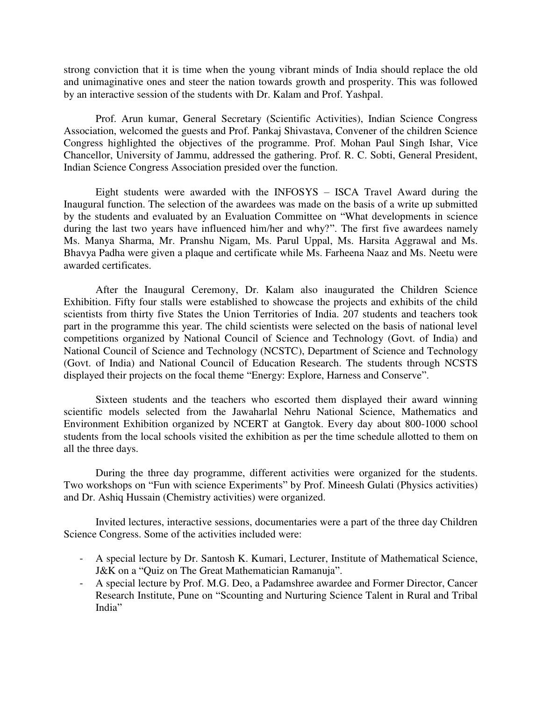strong conviction that it is time when the young vibrant minds of India should replace the old and unimaginative ones and steer the nation towards growth and prosperity. This was followed by an interactive session of the students with Dr. Kalam and Prof. Yashpal.

Prof. Arun kumar, General Secretary (Scientific Activities), Indian Science Congress Association, welcomed the guests and Prof. Pankaj Shivastava, Convener of the children Science Congress highlighted the objectives of the programme. Prof. Mohan Paul Singh Ishar, Vice Chancellor, University of Jammu, addressed the gathering. Prof. R. C. Sobti, General President, Indian Science Congress Association presided over the function.

Eight students were awarded with the INFOSYS – ISCA Travel Award during the Inaugural function. The selection of the awardees was made on the basis of a write up submitted by the students and evaluated by an Evaluation Committee on "What developments in science during the last two years have influenced him/her and why?". The first five awardees namely Ms. Manya Sharma, Mr. Pranshu Nigam, Ms. Parul Uppal, Ms. Harsita Aggrawal and Ms. Bhavya Padha were given a plaque and certificate while Ms. Farheena Naaz and Ms. Neetu were awarded certificates.

After the Inaugural Ceremony, Dr. Kalam also inaugurated the Children Science Exhibition. Fifty four stalls were established to showcase the projects and exhibits of the child scientists from thirty five States the Union Territories of India. 207 students and teachers took part in the programme this year. The child scientists were selected on the basis of national level competitions organized by National Council of Science and Technology (Govt. of India) and National Council of Science and Technology (NCSTC), Department of Science and Technology (Govt. of India) and National Council of Education Research. The students through NCSTS displayed their projects on the focal theme "Energy: Explore, Harness and Conserve".

Sixteen students and the teachers who escorted them displayed their award winning scientific models selected from the Jawaharlal Nehru National Science, Mathematics and Environment Exhibition organized by NCERT at Gangtok. Every day about 800-1000 school students from the local schools visited the exhibition as per the time schedule allotted to them on all the three days.

During the three day programme, different activities were organized for the students. Two workshops on "Fun with science Experiments" by Prof. Mineesh Gulati (Physics activities) and Dr. Ashiq Hussain (Chemistry activities) were organized.

Invited lectures, interactive sessions, documentaries were a part of the three day Children Science Congress. Some of the activities included were:

- A special lecture by Dr. Santosh K. Kumari, Lecturer, Institute of Mathematical Science, J&K on a "Quiz on The Great Mathematician Ramanuja".
- A special lecture by Prof. M.G. Deo, a Padamshree awardee and Former Director, Cancer Research Institute, Pune on "Scounting and Nurturing Science Talent in Rural and Tribal India"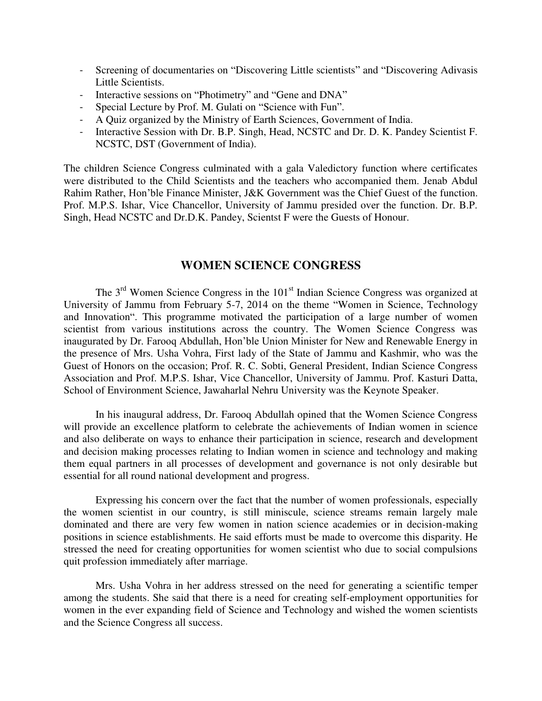- Screening of documentaries on "Discovering Little scientists" and "Discovering Adivasis Little Scientists.
- Interactive sessions on "Photimetry" and "Gene and DNA"
- Special Lecture by Prof. M. Gulati on "Science with Fun".
- A Quiz organized by the Ministry of Earth Sciences, Government of India.
- Interactive Session with Dr. B.P. Singh, Head, NCSTC and Dr. D. K. Pandey Scientist F. NCSTC, DST (Government of India).

The children Science Congress culminated with a gala Valedictory function where certificates were distributed to the Child Scientists and the teachers who accompanied them. Jenab Abdul Rahim Rather, Hon'ble Finance Minister, J&K Government was the Chief Guest of the function. Prof. M.P.S. Ishar, Vice Chancellor, University of Jammu presided over the function. Dr. B.P. Singh, Head NCSTC and Dr.D.K. Pandey, Scientst F were the Guests of Honour.

#### **WOMEN SCIENCE CONGRESS**

The 3<sup>rd</sup> Women Science Congress in the 101<sup>st</sup> Indian Science Congress was organized at University of Jammu from February 5-7, 2014 on the theme "Women in Science, Technology and Innovation". This programme motivated the participation of a large number of women scientist from various institutions across the country. The Women Science Congress was inaugurated by Dr. Farooq Abdullah, Hon'ble Union Minister for New and Renewable Energy in the presence of Mrs. Usha Vohra, First lady of the State of Jammu and Kashmir, who was the Guest of Honors on the occasion; Prof. R. C. Sobti, General President, Indian Science Congress Association and Prof. M.P.S. Ishar, Vice Chancellor, University of Jammu. Prof. Kasturi Datta, School of Environment Science, Jawaharlal Nehru University was the Keynote Speaker.

In his inaugural address, Dr. Farooq Abdullah opined that the Women Science Congress will provide an excellence platform to celebrate the achievements of Indian women in science and also deliberate on ways to enhance their participation in science, research and development and decision making processes relating to Indian women in science and technology and making them equal partners in all processes of development and governance is not only desirable but essential for all round national development and progress.

Expressing his concern over the fact that the number of women professionals, especially the women scientist in our country, is still miniscule, science streams remain largely male dominated and there are very few women in nation science academies or in decision-making positions in science establishments. He said efforts must be made to overcome this disparity. He stressed the need for creating opportunities for women scientist who due to social compulsions quit profession immediately after marriage.

Mrs. Usha Vohra in her address stressed on the need for generating a scientific temper among the students. She said that there is a need for creating self-employment opportunities for women in the ever expanding field of Science and Technology and wished the women scientists and the Science Congress all success.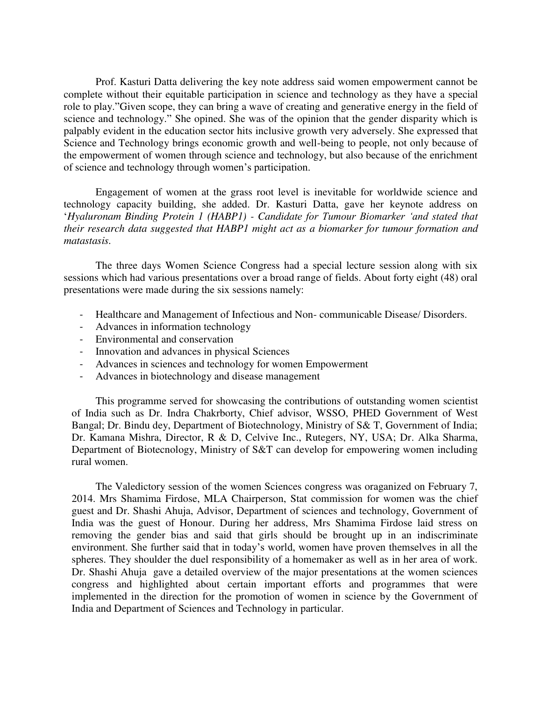Prof. Kasturi Datta delivering the key note address said women empowerment cannot be complete without their equitable participation in science and technology as they have a special role to play."Given scope, they can bring a wave of creating and generative energy in the field of science and technology." She opined. She was of the opinion that the gender disparity which is palpably evident in the education sector hits inclusive growth very adversely. She expressed that Science and Technology brings economic growth and well-being to people, not only because of the empowerment of women through science and technology, but also because of the enrichment of science and technology through women's participation.

Engagement of women at the grass root level is inevitable for worldwide science and technology capacity building, she added. Dr. Kasturi Datta, gave her keynote address on '*Hyaluronam Binding Protein 1 (HABP1) - Candidate for Tumour Biomarker 'and stated that their research data suggested that HABP1 might act as a biomarker for tumour formation and matastasis.* 

The three days Women Science Congress had a special lecture session along with six sessions which had various presentations over a broad range of fields. About forty eight (48) oral presentations were made during the six sessions namely:

- Healthcare and Management of Infectious and Non- communicable Disease/ Disorders.
- Advances in information technology
- Environmental and conservation
- Innovation and advances in physical Sciences
- Advances in sciences and technology for women Empowerment
- Advances in biotechnology and disease management

This programme served for showcasing the contributions of outstanding women scientist of India such as Dr. Indra Chakrborty, Chief advisor, WSSO, PHED Government of West Bangal; Dr. Bindu dey, Department of Biotechnology, Ministry of S& T, Government of India; Dr. Kamana Mishra, Director, R & D, Celvive Inc., Rutegers, NY, USA; Dr. Alka Sharma, Department of Biotecnology, Ministry of S&T can develop for empowering women including rural women.

The Valedictory session of the women Sciences congress was oraganized on February 7, 2014. Mrs Shamima Firdose, MLA Chairperson, Stat commission for women was the chief guest and Dr. Shashi Ahuja, Advisor, Department of sciences and technology, Government of India was the guest of Honour. During her address, Mrs Shamima Firdose laid stress on removing the gender bias and said that girls should be brought up in an indiscriminate environment. She further said that in today's world, women have proven themselves in all the spheres. They shoulder the duel responsibility of a homemaker as well as in her area of work. Dr. Shashi Ahuja gave a detailed overview of the major presentations at the women sciences congress and highlighted about certain important efforts and programmes that were implemented in the direction for the promotion of women in science by the Government of India and Department of Sciences and Technology in particular.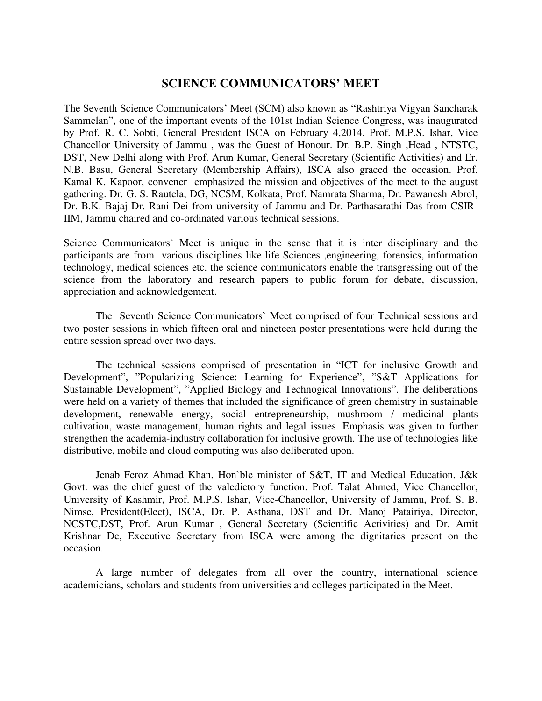#### **SCIENCE COMMUNICATORS' MEET**

The Seventh Science Communicators' Meet (SCM) also known as "Rashtriya Vigyan Sancharak Sammelan", one of the important events of the 101st Indian Science Congress, was inaugurated by Prof. R. C. Sobti, General President ISCA on February 4,2014. Prof. M.P.S. Ishar, Vice Chancellor University of Jammu , was the Guest of Honour. Dr. B.P. Singh ,Head , NTSTC, DST, New Delhi along with Prof. Arun Kumar, General Secretary (Scientific Activities) and Er. N.B. Basu, General Secretary (Membership Affairs), ISCA also graced the occasion. Prof. Kamal K. Kapoor, convener emphasized the mission and objectives of the meet to the august gathering. Dr. G. S. Rautela, DG, NCSM, Kolkata, Prof. Namrata Sharma, Dr. Pawanesh Abrol, Dr. B.K. Bajaj Dr. Rani Dei from university of Jammu and Dr. Parthasarathi Das from CSIR-IIM, Jammu chaired and co-ordinated various technical sessions.

Science Communicators` Meet is unique in the sense that it is inter disciplinary and the participants are from various disciplines like life Sciences ,engineering, forensics, information technology, medical sciences etc. the science communicators enable the transgressing out of the science from the laboratory and research papers to public forum for debate, discussion, appreciation and acknowledgement.

The Seventh Science Communicators` Meet comprised of four Technical sessions and two poster sessions in which fifteen oral and nineteen poster presentations were held during the entire session spread over two days.

The technical sessions comprised of presentation in "ICT for inclusive Growth and Development", "Popularizing Science: Learning for Experience", "S&T Applications for Sustainable Development", "Applied Biology and Technogical Innovations". The deliberations were held on a variety of themes that included the significance of green chemistry in sustainable development, renewable energy, social entrepreneurship, mushroom / medicinal plants cultivation, waste management, human rights and legal issues. Emphasis was given to further strengthen the academia-industry collaboration for inclusive growth. The use of technologies like distributive, mobile and cloud computing was also deliberated upon.

Jenab Feroz Ahmad Khan, Hon`ble minister of S&T, IT and Medical Education, J&k Govt. was the chief guest of the valedictory function. Prof. Talat Ahmed, Vice Chancellor, University of Kashmir, Prof. M.P.S. Ishar, Vice-Chancellor, University of Jammu, Prof. S. B. Nimse, President(Elect), ISCA, Dr. P. Asthana, DST and Dr. Manoj Patairiya, Director, NCSTC,DST, Prof. Arun Kumar , General Secretary (Scientific Activities) and Dr. Amit Krishnar De, Executive Secretary from ISCA were among the dignitaries present on the occasion.

A large number of delegates from all over the country, international science academicians, scholars and students from universities and colleges participated in the Meet.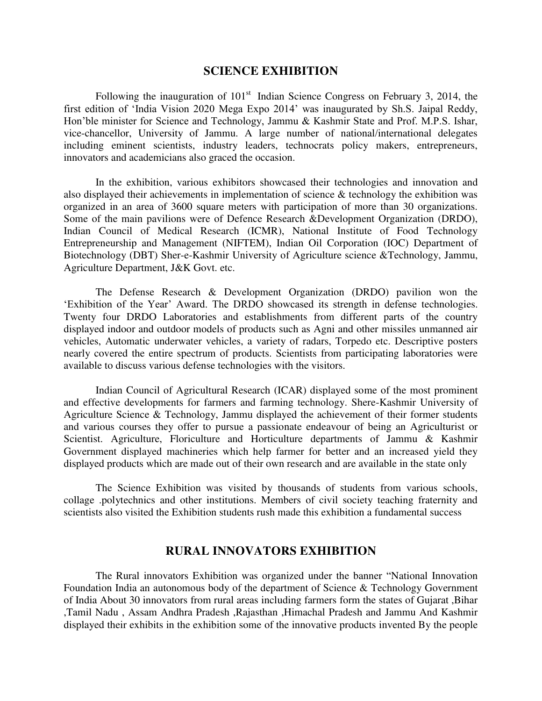#### **SCIENCE EXHIBITION**

Following the inauguration of  $101<sup>st</sup>$  Indian Science Congress on February 3, 2014, the first edition of 'India Vision 2020 Mega Expo 2014' was inaugurated by Sh.S. Jaipal Reddy, Hon'ble minister for Science and Technology, Jammu & Kashmir State and Prof. M.P.S. Ishar, vice-chancellor, University of Jammu. A large number of national/international delegates including eminent scientists, industry leaders, technocrats policy makers, entrepreneurs, innovators and academicians also graced the occasion.

In the exhibition, various exhibitors showcased their technologies and innovation and also displayed their achievements in implementation of science & technology the exhibition was organized in an area of 3600 square meters with participation of more than 30 organizations. Some of the main pavilions were of Defence Research &Development Organization (DRDO), Indian Council of Medical Research (ICMR), National Institute of Food Technology Entrepreneurship and Management (NIFTEM), Indian Oil Corporation (IOC) Department of Biotechnology (DBT) Sher-e-Kashmir University of Agriculture science &Technology, Jammu, Agriculture Department, J&K Govt. etc.

The Defense Research & Development Organization (DRDO) pavilion won the 'Exhibition of the Year' Award. The DRDO showcased its strength in defense technologies. Twenty four DRDO Laboratories and establishments from different parts of the country displayed indoor and outdoor models of products such as Agni and other missiles unmanned air vehicles, Automatic underwater vehicles, a variety of radars, Torpedo etc. Descriptive posters nearly covered the entire spectrum of products. Scientists from participating laboratories were available to discuss various defense technologies with the visitors.

Indian Council of Agricultural Research (ICAR) displayed some of the most prominent and effective developments for farmers and farming technology. Shere-Kashmir University of Agriculture Science & Technology, Jammu displayed the achievement of their former students and various courses they offer to pursue a passionate endeavour of being an Agriculturist or Scientist. Agriculture, Floriculture and Horticulture departments of Jammu & Kashmir Government displayed machineries which help farmer for better and an increased yield they displayed products which are made out of their own research and are available in the state only

The Science Exhibition was visited by thousands of students from various schools, collage .polytechnics and other institutions. Members of civil society teaching fraternity and scientists also visited the Exhibition students rush made this exhibition a fundamental success

#### **RURAL INNOVATORS EXHIBITION**

The Rural innovators Exhibition was organized under the banner "National Innovation Foundation India an autonomous body of the department of Science & Technology Government of India About 30 innovators from rural areas including farmers form the states of Gujarat ,Bihar ,Tamil Nadu , Assam Andhra Pradesh ,Rajasthan ,Himachal Pradesh and Jammu And Kashmir displayed their exhibits in the exhibition some of the innovative products invented By the people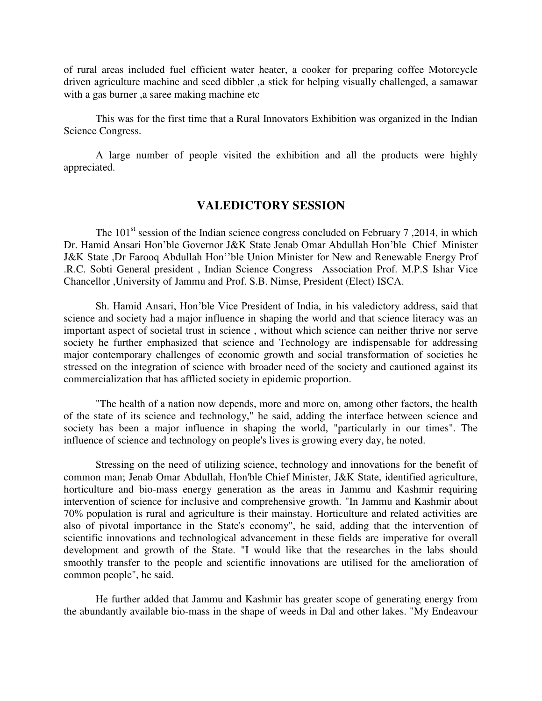of rural areas included fuel efficient water heater, a cooker for preparing coffee Motorcycle driven agriculture machine and seed dibbler ,a stick for helping visually challenged, a samawar with a gas burner, a saree making machine etc

This was for the first time that a Rural Innovators Exhibition was organized in the Indian Science Congress.

A large number of people visited the exhibition and all the products were highly appreciated.

#### **VALEDICTORY SESSION**

The  $101<sup>st</sup>$  session of the Indian science congress concluded on February 7, 2014, in which Dr. Hamid Ansari Hon'ble Governor J&K State Jenab Omar Abdullah Hon'ble Chief Minister J&K State ,Dr Farooq Abdullah Hon''ble Union Minister for New and Renewable Energy Prof .R.C. Sobti General president , Indian Science Congress Association Prof. M.P.S Ishar Vice Chancellor ,University of Jammu and Prof. S.B. Nimse, President (Elect) ISCA.

Sh. Hamid Ansari, Hon'ble Vice President of India, in his valedictory address, said that science and society had a major influence in shaping the world and that science literacy was an important aspect of societal trust in science , without which science can neither thrive nor serve society he further emphasized that science and Technology are indispensable for addressing major contemporary challenges of economic growth and social transformation of societies he stressed on the integration of science with broader need of the society and cautioned against its commercialization that has afflicted society in epidemic proportion.

"The health of a nation now depends, more and more on, among other factors, the health of the state of its science and technology," he said, adding the interface between science and society has been a major influence in shaping the world, "particularly in our times". The influence of science and technology on people's lives is growing every day, he noted.

Stressing on the need of utilizing science, technology and innovations for the benefit of common man; Jenab Omar Abdullah, Hon'ble Chief Minister, J&K State, identified agriculture, horticulture and bio-mass energy generation as the areas in Jammu and Kashmir requiring intervention of science for inclusive and comprehensive growth. "In Jammu and Kashmir about 70% population is rural and agriculture is their mainstay. Horticulture and related activities are also of pivotal importance in the State's economy", he said, adding that the intervention of scientific innovations and technological advancement in these fields are imperative for overall development and growth of the State. "I would like that the researches in the labs should smoothly transfer to the people and scientific innovations are utilised for the amelioration of common people", he said.

He further added that Jammu and Kashmir has greater scope of generating energy from the abundantly available bio-mass in the shape of weeds in Dal and other lakes. "My Endeavour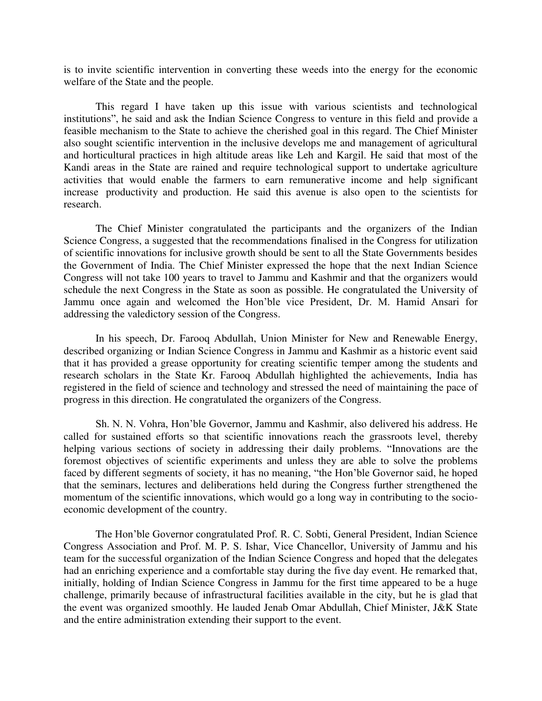is to invite scientific intervention in converting these weeds into the energy for the economic welfare of the State and the people.

This regard I have taken up this issue with various scientists and technological institutions", he said and ask the Indian Science Congress to venture in this field and provide a feasible mechanism to the State to achieve the cherished goal in this regard. The Chief Minister also sought scientific intervention in the inclusive develops me and management of agricultural and horticultural practices in high altitude areas like Leh and Kargil. He said that most of the Kandi areas in the State are rained and require technological support to undertake agriculture activities that would enable the farmers to earn remunerative income and help significant increase productivity and production. He said this avenue is also open to the scientists for research.

The Chief Minister congratulated the participants and the organizers of the Indian Science Congress, a suggested that the recommendations finalised in the Congress for utilization of scientific innovations for inclusive growth should be sent to all the State Governments besides the Government of India. The Chief Minister expressed the hope that the next Indian Science Congress will not take 100 years to travel to Jammu and Kashmir and that the organizers would schedule the next Congress in the State as soon as possible. He congratulated the University of Jammu once again and welcomed the Hon'ble vice President, Dr. M. Hamid Ansari for addressing the valedictory session of the Congress.

In his speech, Dr. Farooq Abdullah, Union Minister for New and Renewable Energy, described organizing or Indian Science Congress in Jammu and Kashmir as a historic event said that it has provided a grease opportunity for creating scientific temper among the students and research scholars in the State Kr. Farooq Abdullah highlighted the achievements, India has registered in the field of science and technology and stressed the need of maintaining the pace of progress in this direction. He congratulated the organizers of the Congress.

Sh. N. N. Vohra, Hon'ble Governor, Jammu and Kashmir, also delivered his address. He called for sustained efforts so that scientific innovations reach the grassroots level, thereby helping various sections of society in addressing their daily problems. "Innovations are the foremost objectives of scientific experiments and unless they are able to solve the problems faced by different segments of society, it has no meaning, "the Hon'ble Governor said, he hoped that the seminars, lectures and deliberations held during the Congress further strengthened the momentum of the scientific innovations, which would go a long way in contributing to the socioeconomic development of the country.

The Hon'ble Governor congratulated Prof. R. C. Sobti, General President, Indian Science Congress Association and Prof. M. P. S. Ishar, Vice Chancellor, University of Jammu and his team for the successful organization of the Indian Science Congress and hoped that the delegates had an enriching experience and a comfortable stay during the five day event. He remarked that, initially, holding of Indian Science Congress in Jammu for the first time appeared to be a huge challenge, primarily because of infrastructural facilities available in the city, but he is glad that the event was organized smoothly. He lauded Jenab Omar Abdullah, Chief Minister, J&K State and the entire administration extending their support to the event.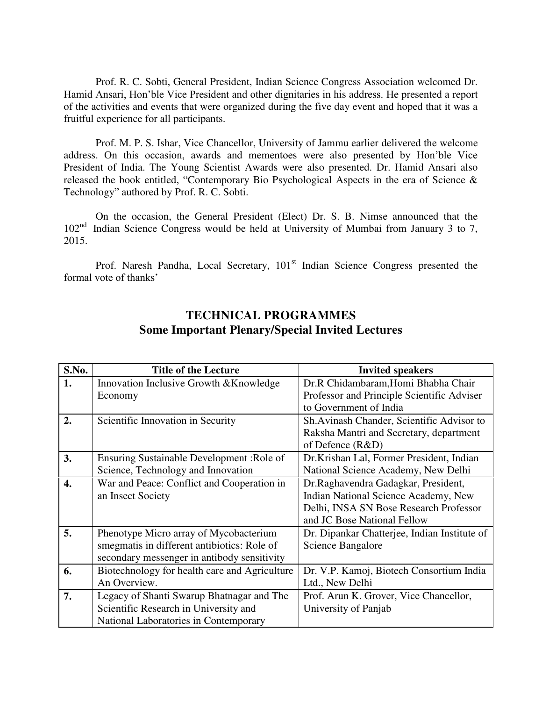Prof. R. C. Sobti, General President, Indian Science Congress Association welcomed Dr. Hamid Ansari, Hon'ble Vice President and other dignitaries in his address. He presented a report of the activities and events that were organized during the five day event and hoped that it was a fruitful experience for all participants.

Prof. M. P. S. Ishar, Vice Chancellor, University of Jammu earlier delivered the welcome address. On this occasion, awards and mementoes were also presented by Hon'ble Vice President of India. The Young Scientist Awards were also presented. Dr. Hamid Ansari also released the book entitled, "Contemporary Bio Psychological Aspects in the era of Science & Technology" authored by Prof. R. C. Sobti.

On the occasion, the General President (Elect) Dr. S. B. Nimse announced that the 102<sup>nd</sup> Indian Science Congress would be held at University of Mumbai from January 3 to 7, 2015.

Prof. Naresh Pandha, Local Secretary,  $101<sup>st</sup>$  Indian Science Congress presented the formal vote of thanks'

| S.No. | <b>Title of the Lecture</b>                                                                                                          | <b>Invited speakers</b>                                                                                                                              |
|-------|--------------------------------------------------------------------------------------------------------------------------------------|------------------------------------------------------------------------------------------------------------------------------------------------------|
| 1.    | Innovation Inclusive Growth & Knowledge<br>Economy                                                                                   | Dr.R Chidambaram, Homi Bhabha Chair<br>Professor and Principle Scientific Adviser                                                                    |
|       |                                                                                                                                      | to Government of India                                                                                                                               |
| 2.    | Scientific Innovation in Security                                                                                                    | Sh.Avinash Chander, Scientific Advisor to<br>Raksha Mantri and Secretary, department<br>of Defence $(R&D)$                                           |
| 3.    | Ensuring Sustainable Development : Role of<br>Science, Technology and Innovation                                                     | Dr.Krishan Lal, Former President, Indian<br>National Science Academy, New Delhi                                                                      |
| 4.    | War and Peace: Conflict and Cooperation in<br>an Insect Society                                                                      | Dr.Raghavendra Gadagkar, President,<br>Indian National Science Academy, New<br>Delhi, INSA SN Bose Research Professor<br>and JC Bose National Fellow |
| 5.    | Phenotype Micro array of Mycobacterium<br>smegmatis in different antibiotics: Role of<br>secondary messenger in antibody sensitivity | Dr. Dipankar Chatterjee, Indian Institute of<br>Science Bangalore                                                                                    |
| 6.    | Biotechnology for health care and Agriculture<br>An Overview.                                                                        | Dr. V.P. Kamoj, Biotech Consortium India<br>Ltd., New Delhi                                                                                          |
| 7.    | Legacy of Shanti Swarup Bhatnagar and The<br>Scientific Research in University and<br>National Laboratories in Contemporary          | Prof. Arun K. Grover, Vice Chancellor,<br>University of Panjab                                                                                       |

### **TECHNICAL PROGRAMMES Some Important Plenary/Special Invited Lectures**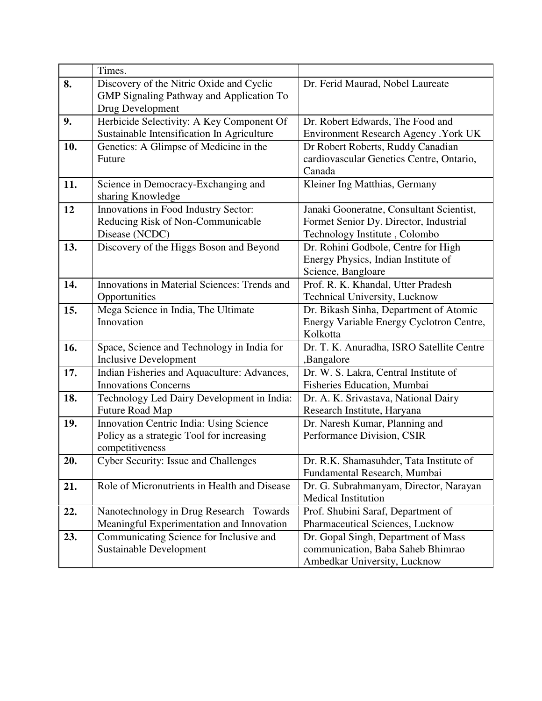|     | Times.                                                                                                          |                                                                                                                     |
|-----|-----------------------------------------------------------------------------------------------------------------|---------------------------------------------------------------------------------------------------------------------|
| 8.  | Discovery of the Nitric Oxide and Cyclic<br><b>GMP Signaling Pathway and Application To</b><br>Drug Development | Dr. Ferid Maurad, Nobel Laureate                                                                                    |
| 9.  | Herbicide Selectivity: A Key Component Of                                                                       | Dr. Robert Edwards, The Food and                                                                                    |
|     | Sustainable Intensification In Agriculture                                                                      | Environment Research Agency . York UK                                                                               |
| 10. | Genetics: A Glimpse of Medicine in the<br>Future                                                                | Dr Robert Roberts, Ruddy Canadian<br>cardiovascular Genetics Centre, Ontario,<br>Canada                             |
| 11. | Science in Democracy-Exchanging and<br>sharing Knowledge                                                        | Kleiner Ing Matthias, Germany                                                                                       |
| 12  | Innovations in Food Industry Sector:<br>Reducing Risk of Non-Communicable<br>Disease (NCDC)                     | Janaki Gooneratne, Consultant Scientist,<br>Formet Senior Dy. Director, Industrial<br>Technology Institute, Colombo |
| 13. | Discovery of the Higgs Boson and Beyond                                                                         | Dr. Rohini Godbole, Centre for High<br>Energy Physics, Indian Institute of<br>Science, Bangloare                    |
| 14. | Innovations in Material Sciences: Trends and<br>Opportunities                                                   | Prof. R. K. Khandal, Utter Pradesh<br>Technical University, Lucknow                                                 |
| 15. | Mega Science in India, The Ultimate<br>Innovation                                                               | Dr. Bikash Sinha, Department of Atomic<br>Energy Variable Energy Cyclotron Centre,<br>Kolkotta                      |
| 16. | Space, Science and Technology in India for<br><b>Inclusive Development</b>                                      | Dr. T. K. Anuradha, ISRO Satellite Centre<br>,Bangalore                                                             |
| 17. | Indian Fisheries and Aquaculture: Advances,<br><b>Innovations Concerns</b>                                      | Dr. W. S. Lakra, Central Institute of<br>Fisheries Education, Mumbai                                                |
| 18. | Technology Led Dairy Development in India:<br>Future Road Map                                                   | Dr. A. K. Srivastava, National Dairy<br>Research Institute, Haryana                                                 |
| 19. | Innovation Centric India: Using Science<br>Policy as a strategic Tool for increasing<br>competitiveness         | Dr. Naresh Kumar, Planning and<br>Performance Division, CSIR                                                        |
| 20. | <b>Cyber Security: Issue and Challenges</b>                                                                     | Dr. R.K. Shamasuhder, Tata Institute of<br>Fundamental Research, Mumbai                                             |
| 21. | Role of Micronutrients in Health and Disease                                                                    | Dr. G. Subrahmanyam, Director, Narayan<br><b>Medical Institution</b>                                                |
| 22. | Nanotechnology in Drug Research -Towards<br>Meaningful Experimentation and Innovation                           | Prof. Shubini Saraf, Department of<br>Pharmaceutical Sciences, Lucknow                                              |
| 23. | Communicating Science for Inclusive and<br>Sustainable Development                                              | Dr. Gopal Singh, Department of Mass<br>communication, Baba Saheb Bhimrao<br>Ambedkar University, Lucknow            |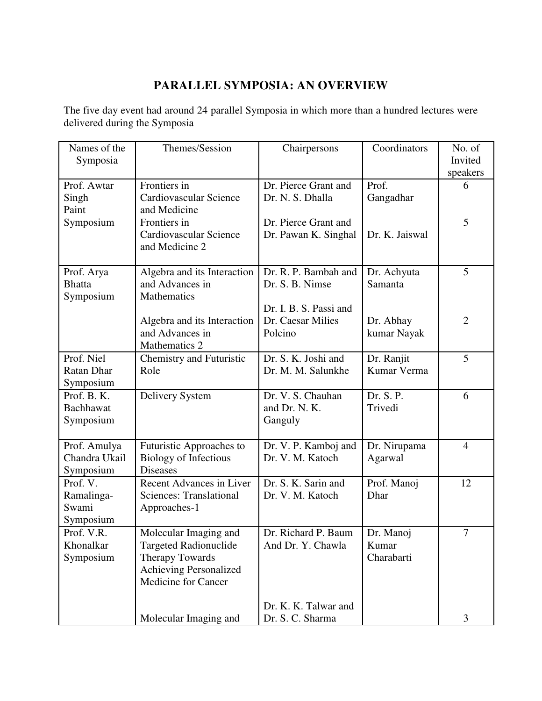# **PARALLEL SYMPOSIA: AN OVERVIEW**

The five day event had around 24 parallel Symposia in which more than a hundred lectures were delivered during the Symposia

| Names of the<br>Symposia                     | Themes/Session                                                                                                            | Chairpersons                                           | Coordinators                     | No. of<br>Invited<br>speakers |
|----------------------------------------------|---------------------------------------------------------------------------------------------------------------------------|--------------------------------------------------------|----------------------------------|-------------------------------|
|                                              | Frontiers in                                                                                                              | Dr. Pierce Grant and                                   | Prof.                            |                               |
| Prof. Awtar<br>Singh<br>Paint                | Cardiovascular Science<br>and Medicine                                                                                    | Dr. N. S. Dhalla                                       | Gangadhar                        | 6                             |
| Symposium                                    | Frontiers in<br>Cardiovascular Science<br>and Medicine 2                                                                  | Dr. Pierce Grant and<br>Dr. Pawan K. Singhal           | Dr. K. Jaiswal                   | 5                             |
|                                              |                                                                                                                           |                                                        |                                  |                               |
| Prof. Arya<br><b>Bhatta</b><br>Symposium     | Algebra and its Interaction<br>and Advances in<br>Mathematics                                                             | Dr. R. P. Bambah and<br>Dr. S. B. Nimse                | Dr. Achyuta<br>Samanta           | 5                             |
|                                              | Algebra and its Interaction<br>and Advances in                                                                            | Dr. I. B. S. Passi and<br>Dr. Caesar Milies<br>Polcino | Dr. Abhay<br>kumar Nayak         | $\overline{2}$                |
|                                              | Mathematics 2                                                                                                             |                                                        |                                  |                               |
| Prof. Niel<br>Ratan Dhar<br>Symposium        | Chemistry and Futuristic<br>Role                                                                                          | Dr. S. K. Joshi and<br>Dr. M. M. Salunkhe              | Dr. Ranjit<br>Kumar Verma        | 5                             |
| Prof. B. K.<br><b>Bachhawat</b><br>Symposium | Delivery System                                                                                                           | Dr. V. S. Chauhan<br>and Dr. N. K.<br>Ganguly          | Dr. S. P.<br>Trivedi             | 6                             |
| Prof. Amulya<br>Chandra Ukail<br>Symposium   | Futuristic Approaches to<br><b>Biology of Infectious</b><br><b>Diseases</b>                                               | Dr. V. P. Kamboj and<br>Dr. V. M. Katoch               | Dr. Nirupama<br>Agarwal          | $\overline{4}$                |
| Prof. V.<br>Ramalinga-<br>Swami<br>Symposium | Recent Advances in Liver<br><b>Sciences: Translational</b><br>Approaches-1                                                | Dr. S. K. Sarin and<br>Dr. V. M. Katoch                | Prof. Manoj<br>Dhar              | 12                            |
| Prof. V.R<br>Khonalkar<br>Symposium          | Molecular Imaging and<br>Targeted Radionuclide<br><b>Therapy Towards</b><br>Achieving Personalized<br>Medicine for Cancer | Dr. Richard P. Baum<br>And Dr. Y. Chawla               | Dr. Manoj<br>Kumar<br>Charabarti | $\tau$                        |
|                                              | Molecular Imaging and                                                                                                     | Dr. K. K. Talwar and<br>Dr. S. C. Sharma               |                                  | 3                             |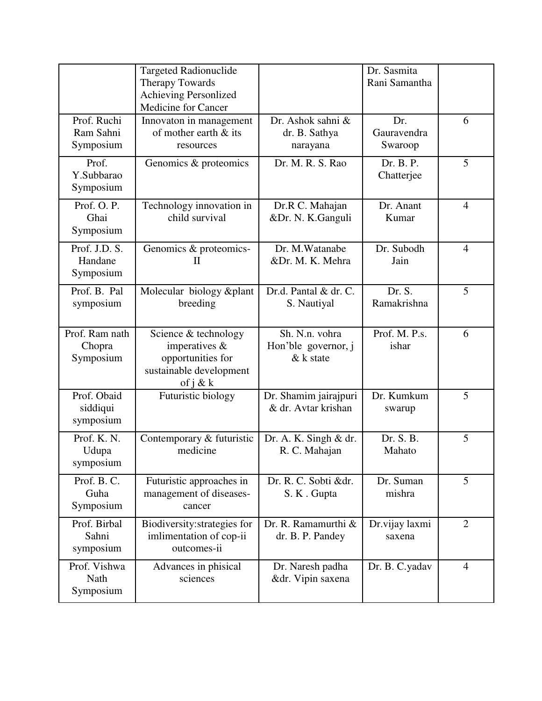|                                       | <b>Targeted Radionuclide</b><br>Therapy Towards<br>Achieving Personlized<br>Medicine for Cancer         |                                                     | Dr. Sasmita<br>Rani Samantha  |                |
|---------------------------------------|---------------------------------------------------------------------------------------------------------|-----------------------------------------------------|-------------------------------|----------------|
| Prof. Ruchi<br>Ram Sahni<br>Symposium | Innovaton in management<br>of mother earth & its<br>resources                                           | Dr. Ashok sahni &<br>dr. B. Sathya<br>narayana      | Dr.<br>Gauravendra<br>Swaroop | 6              |
| Prof.<br>Y.Subbarao<br>Symposium      | Genomics & proteomics                                                                                   | Dr. M. R. S. Rao                                    | Dr. B. P.<br>Chatterjee       | 5              |
| Prof. O. P.<br>Ghai<br>Symposium      | Technology innovation in<br>child survival                                                              | Dr.R C. Mahajan<br>&Dr. N. K.Ganguli                | Dr. Anant<br>Kumar            | $\overline{4}$ |
| Prof. J.D. S.<br>Handane<br>Symposium | Genomics & proteomics-<br>$\mathbf{I}$                                                                  | Dr. M. Watanabe<br>&Dr. M. K. Mehra                 | Dr. Subodh<br>Jain            | $\overline{4}$ |
| Prof. B. Pal<br>symposium             | Molecular biology & plant<br>breeding                                                                   | Dr.d. Pantal & dr. C.<br>S. Nautiyal                | Dr. S.<br>Ramakrishna         | 5              |
| Prof. Ram nath<br>Chopra<br>Symposium | Science & technology<br>imperatives $\&$<br>opportunities for<br>sustainable development<br>of $j \& k$ | Sh. N.n. vohra<br>Hon'ble governor, j<br>$&k$ state | Prof. M. P.s.<br>ishar        | 6              |
| Prof. Obaid<br>siddiqui<br>symposium  | Futuristic biology                                                                                      | Dr. Shamim jairajpuri<br>& dr. Avtar krishan        | Dr. Kumkum<br>swarup          | 5              |
| Prof. K. N.<br>Udupa<br>symposium     | Contemporary & futuristic<br>medicine                                                                   | Dr. A. K. Singh $& dr$ .<br>R. C. Mahajan           | Dr. S. B.<br>Mahato           | 5              |
| Prof. B.C.<br>Guha<br>Symposium       | Futuristic approaches in<br>management of diseases-<br>cancer                                           | Dr. R. C. Sobti &dr.<br>S. K. Gupta                 | Dr. Suman<br>mishra           | 5              |
| Prof. Birbal<br>Sahni<br>symposium    | Biodiversity: strategies for<br>imlimentation of cop-ii<br>outcomes-ii                                  | Dr. R. Ramamurthi &<br>dr. B. P. Pandey             | Dr.vijay laxmi<br>saxena      | $\overline{2}$ |
| Prof. Vishwa<br>Nath<br>Symposium     | Advances in phisical<br>sciences                                                                        | Dr. Naresh padha<br>&dr. Vipin saxena               | Dr. B. C.yadav                | $\overline{4}$ |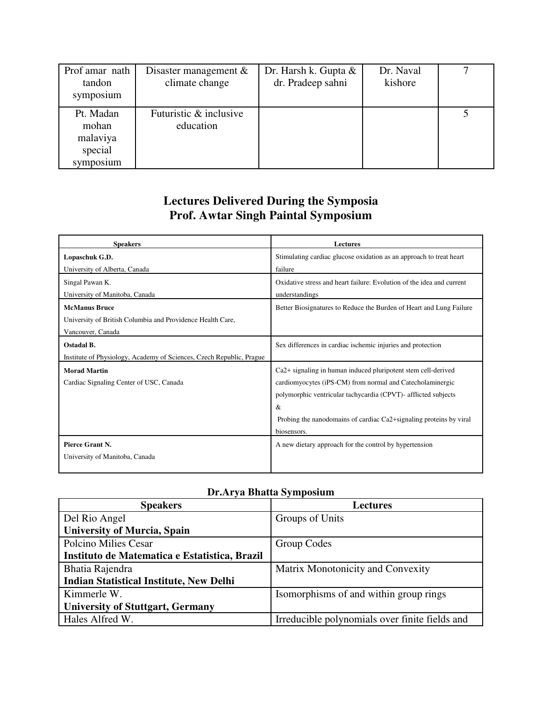| Prof amar nath<br>tandon<br>symposium                  | Disaster management $\&$<br>climate change | Dr. Harsh k. Gupta &<br>dr. Pradeep sahni | Dr. Naval<br>kishore |  |
|--------------------------------------------------------|--------------------------------------------|-------------------------------------------|----------------------|--|
| Pt. Madan<br>mohan<br>malaviya<br>special<br>symposium | Futuristic & inclusive<br>education        |                                           |                      |  |

### **Lectures Delivered During the Symposia Prof. Awtar Singh Paintal Symposium**

| <b>Speakers</b>                                                      | <b>Lectures</b>                                                                 |
|----------------------------------------------------------------------|---------------------------------------------------------------------------------|
| Lopaschuk G.D.                                                       | Stimulating cardiac glucose oxidation as an approach to treat heart             |
| University of Alberta, Canada                                        | failure                                                                         |
| Singal Pawan K.                                                      | Oxidative stress and heart failure: Evolution of the idea and current           |
| University of Manitoba, Canada                                       | understandings                                                                  |
| <b>McManus Bruce</b>                                                 | Better Biosignatures to Reduce the Burden of Heart and Lung Failure             |
| University of British Columbia and Providence Health Care,           |                                                                                 |
| Vancouver, Canada                                                    |                                                                                 |
| Ostadal B.                                                           | Sex differences in cardiac ischemic injuries and protection                     |
| Institute of Physiology, Academy of Sciences, Czech Republic, Prague |                                                                                 |
| <b>Morad Martin</b>                                                  | Ca2+ signaling in human induced pluripotent stem cell-derived                   |
| Cardiac Signaling Center of USC, Canada                              | cardiomyocytes (iPS-CM) from normal and Catecholaminergic                       |
|                                                                      | polymorphic ventricular tachycardia (CPVT)- afflicted subjects                  |
|                                                                      | &                                                                               |
|                                                                      | Probing the nanodomains of cardiac Ca <sub>2</sub> +signaling proteins by viral |
|                                                                      | biosensors.                                                                     |
| Pierce Grant N.                                                      | A new dietary approach for the control by hypertension                          |
| University of Manitoba, Canada                                       |                                                                                 |
|                                                                      |                                                                                 |

### **Dr.Arya Bhatta Symposium**

| <b>Speakers</b>                                | <b>Lectures</b>                                |
|------------------------------------------------|------------------------------------------------|
| Del Rio Angel                                  | Groups of Units                                |
| <b>University of Murcia, Spain</b>             |                                                |
| Polcino Milies Cesar                           | Group Codes                                    |
| Instituto de Matematica e Estatistica, Brazil  |                                                |
| Bhatia Rajendra                                | Matrix Monotonicity and Convexity              |
| <b>Indian Statistical Institute, New Delhi</b> |                                                |
| Kimmerle W.                                    | Isomorphisms of and within group rings         |
| <b>University of Stuttgart, Germany</b>        |                                                |
| Hales Alfred W.                                | Irreducible polynomials over finite fields and |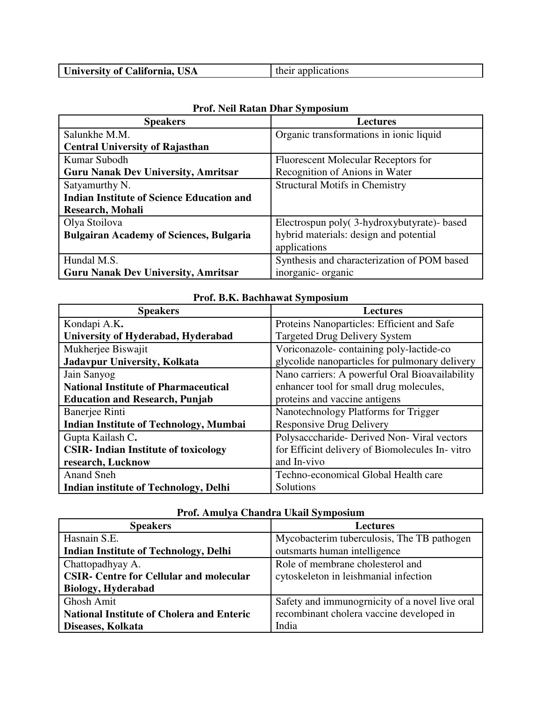| University of California, USA<br>their applications |
|-----------------------------------------------------|
|-----------------------------------------------------|

| <b>Speakers</b>                                  | <b>Lectures</b>                             |
|--------------------------------------------------|---------------------------------------------|
| Salunkhe M.M.                                    | Organic transformations in ionic liquid     |
| <b>Central University of Rajasthan</b>           |                                             |
| Kumar Subodh                                     | Fluorescent Molecular Receptors for         |
| <b>Guru Nanak Dev University, Amritsar</b>       | Recognition of Anions in Water              |
| Satyamurthy N.                                   | <b>Structural Motifs in Chemistry</b>       |
| <b>Indian Institute of Science Education and</b> |                                             |
| Research, Mohali                                 |                                             |
| Olya Stoilova                                    | Electrospun poly(3-hydroxybutyrate)- based  |
| <b>Bulgairan Academy of Sciences, Bulgaria</b>   | hybrid materials: design and potential      |
|                                                  | applications                                |
| Hundal M.S.                                      | Synthesis and characterization of POM based |
| <b>Guru Nanak Dev University, Amritsar</b>       | inorganic-organic                           |

### **Prof. Neil Ratan Dhar Symposium**

| <b>Speakers</b>                               | <b>Lectures</b>                                |
|-----------------------------------------------|------------------------------------------------|
| Kondapi A.K.                                  | Proteins Nanoparticles: Efficient and Safe     |
| University of Hyderabad, Hyderabad            | <b>Targeted Drug Delivery System</b>           |
| Mukherjee Biswajit                            | Voriconazole-containing poly-lactide-co        |
| Jadavpur University, Kolkata                  | glycolide nanoparticles for pulmonary delivery |
| Jain Sanyog                                   | Nano carriers: A powerful Oral Bioavailability |
| <b>National Institute of Pharmaceutical</b>   | enhancer tool for small drug molecules,        |
| <b>Education and Research, Punjab</b>         | proteins and vaccine antigens                  |
| Banerjee Rinti                                | Nanotechnology Platforms for Trigger           |
| <b>Indian Institute of Technology, Mumbai</b> | <b>Responsive Drug Delivery</b>                |
| Gupta Kailash C.                              | Polysacccharide-Derived Non-Viral vectors      |
| <b>CSIR-Indian Institute of toxicology</b>    | for Efficint delivery of Biomolecules In-vitro |
| research, Lucknow                             | and In-vivo                                    |
| <b>Anand Sneh</b>                             | Techno-economical Global Health care           |
| Indian institute of Technology, Delhi         | Solutions                                      |

#### **Prof. B.K. Bachhawat Symposium**

| <b>Speakers</b>                                  | <b>Lectures</b>                                |  |
|--------------------------------------------------|------------------------------------------------|--|
| Hasnain S.E.                                     | Mycobacterim tuberculosis, The TB pathogen     |  |
| <b>Indian Institute of Technology, Delhi</b>     | outsmarts human intelligence                   |  |
| Chattopadhyay A.                                 | Role of membrane cholesterol and               |  |
| <b>CSIR- Centre for Cellular and molecular</b>   | cytoskeleton in leishmanial infection          |  |
| <b>Biology, Hyderabad</b>                        |                                                |  |
| <b>Ghosh Amit</b>                                | Safety and immunograicity of a novel live oral |  |
| <b>National Institute of Cholera and Enteric</b> | recombinant cholera vaccine developed in       |  |
| Diseases, Kolkata                                | India                                          |  |

### **Prof. Amulya Chandra Ukail Symposium**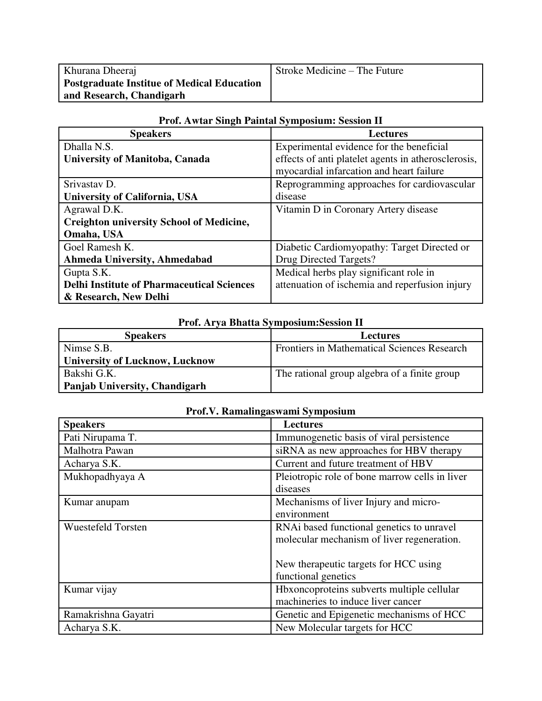| Khurana Dheeraj                                   | Stroke Medicine – The Future |
|---------------------------------------------------|------------------------------|
| <b>Postgraduate Institue of Medical Education</b> |                              |
| and Research, Chandigarh                          |                              |

| <b>Speakers</b>                                   | <b>Lectures</b>                                     |
|---------------------------------------------------|-----------------------------------------------------|
| Dhalla N.S.                                       | Experimental evidence for the beneficial            |
| <b>University of Manitoba, Canada</b>             | effects of anti platelet agents in atherosclerosis, |
|                                                   | myocardial infarcation and heart failure            |
| Srivastav D.                                      | Reprogramming approaches for cardiovascular         |
| University of California, USA                     | disease                                             |
| Agrawal D.K.                                      | Vitamin D in Coronary Artery disease                |
| <b>Creighton university School of Medicine,</b>   |                                                     |
| Omaha, USA                                        |                                                     |
| Goel Ramesh K.                                    | Diabetic Cardiomyopathy: Target Directed or         |
| Ahmeda University, Ahmedabad                      | Drug Directed Targets?                              |
| Gupta S.K.                                        | Medical herbs play significant role in              |
| <b>Delhi Institute of Pharmaceutical Sciences</b> | attenuation of ischemia and reperfusion injury      |
| & Research, New Delhi                             |                                                     |

### **Prof. Awtar Singh Paintal Symposium: Session II**

#### **Prof. Arya Bhatta Symposium:Session II**

| <b>Speakers</b>                       | <b>Lectures</b>                                    |
|---------------------------------------|----------------------------------------------------|
| Nimse S.B.                            | <b>Frontiers in Mathematical Sciences Research</b> |
| <b>University of Lucknow, Lucknow</b> |                                                    |
| Bakshi G.K.                           | The rational group algebra of a finite group       |
| Panjab University, Chandigarh         |                                                    |

### **Prof.V. Ramalingaswami Symposium**

| <b>Speakers</b>           | <b>Lectures</b>                                |
|---------------------------|------------------------------------------------|
| Pati Nirupama T.          | Immunogenetic basis of viral persistence       |
| Malhotra Pawan            | siRNA as new approaches for HBV therapy        |
| Acharya S.K.              | Current and future treatment of HBV            |
| Mukhopadhyaya A           | Pleiotropic role of bone marrow cells in liver |
|                           | diseases                                       |
| Kumar anupam              | Mechanisms of liver Injury and micro-          |
|                           | environment                                    |
| <b>Wuestefeld Torsten</b> | RNAi based functional genetics to unravel      |
|                           | molecular mechanism of liver regeneration.     |
|                           |                                                |
|                           | New therapeutic targets for HCC using          |
|                           | functional genetics                            |
| Kumar vijay               | Hbxoncoproteins subverts multiple cellular     |
|                           | machineries to induce liver cancer             |
| Ramakrishna Gayatri       | Genetic and Epigenetic mechanisms of HCC       |
| Acharya S.K.              | New Molecular targets for HCC                  |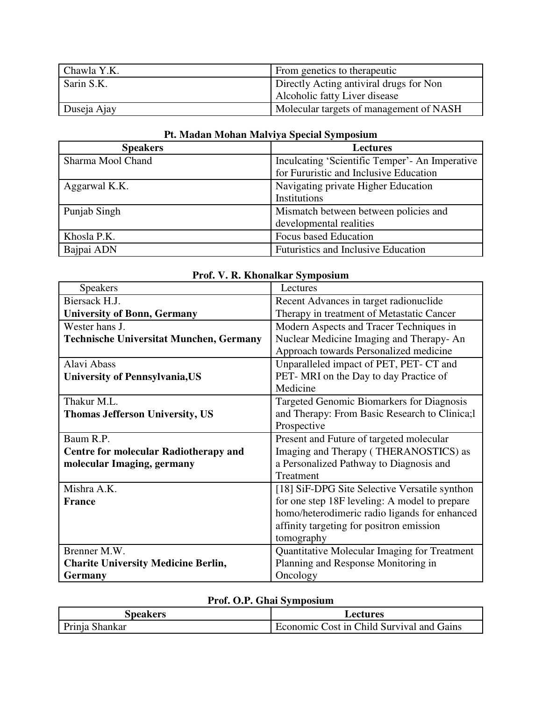| Chawla Y.K. | From genetics to the rapeutic           |
|-------------|-----------------------------------------|
| Sarin S.K.  | Directly Acting antiviral drugs for Non |
|             | Alcoholic fatty Liver disease           |
| Duseja Ajay | Molecular targets of management of NASH |

| <b>Speakers</b>   | <b>Lectures</b>                                |
|-------------------|------------------------------------------------|
| Sharma Mool Chand | Inculcating 'Scientific Temper'- An Imperative |
|                   | for Fururistic and Inclusive Education         |
| Aggarwal K.K.     | Navigating private Higher Education            |
|                   | Institutions                                   |
| Punjab Singh      | Mismatch between between policies and          |
|                   | developmental realities                        |
| Khosla P.K.       | <b>Focus based Education</b>                   |
| Bajpai ADN        | Futuristics and Inclusive Education            |

### **Pt. Madan Mohan Malviya Special Symposium**

| Prof. V. R. Khonalkar Symposium                |                                                |
|------------------------------------------------|------------------------------------------------|
| <b>Speakers</b>                                | Lectures                                       |
| Biersack H.J.                                  | Recent Advances in target radionuclide         |
| <b>University of Bonn, Germany</b>             | Therapy in treatment of Metastatic Cancer      |
| Wester hans J.                                 | Modern Aspects and Tracer Techniques in        |
| <b>Technische Universitat Munchen, Germany</b> | Nuclear Medicine Imaging and Therapy-An        |
|                                                | Approach towards Personalized medicine         |
| Alavi Abass                                    | Unparalleled impact of PET, PET- CT and        |
| <b>University of Pennsylvania, US</b>          | PET-MRI on the Day to day Practice of          |
|                                                | Medicine                                       |
| Thakur M.L.                                    | Targeted Genomic Biomarkers for Diagnosis      |
| <b>Thomas Jefferson University, US</b>         | and Therapy: From Basic Research to Clinica; l |
|                                                | Prospective                                    |
| Baum R.P.                                      | Present and Future of targeted molecular       |
| <b>Centre for molecular Radiotherapy and</b>   | Imaging and Therapy (THERANOSTICS) as          |
| molecular Imaging, germany                     | a Personalized Pathway to Diagnosis and        |
|                                                | Treatment                                      |
| Mishra A.K.                                    | [18] SiF-DPG Site Selective Versatile synthon  |
| <b>France</b>                                  | for one step 18F leveling: A model to prepare  |
|                                                | homo/heterodimeric radio ligands for enhanced  |
|                                                | affinity targeting for positron emission       |
|                                                | tomography                                     |
| Brenner M.W.                                   | Quantitative Molecular Imaging for Treatment   |
| <b>Charite University Medicine Berlin,</b>     | Planning and Response Monitoring in            |
| <b>Germany</b>                                 | Oncology                                       |

### **Prof. V. P. Khonalkar Symposium**

### **Prof. O.P. Ghai Symposium**

| Speakers       | Lectures                                  |
|----------------|-------------------------------------------|
| Prinja Shankar | Economic Cost in Child Survival and Gains |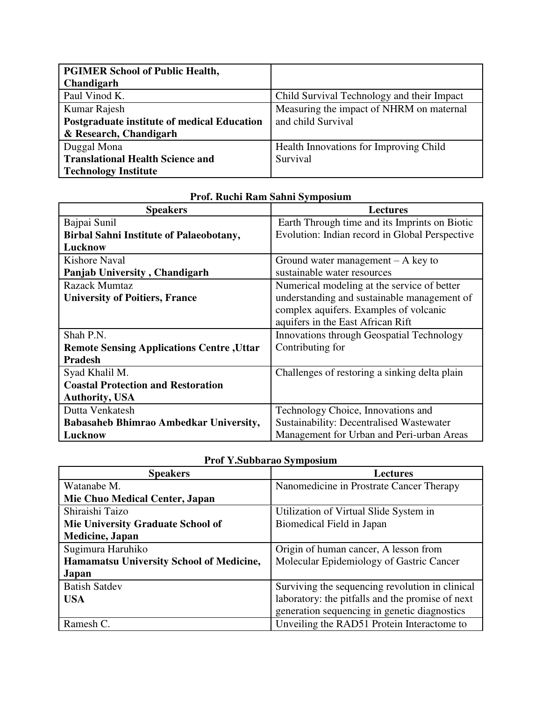| <b>PGIMER School of Public Health,</b>             |                                            |
|----------------------------------------------------|--------------------------------------------|
| Chandigarh                                         |                                            |
| Paul Vinod K.                                      | Child Survival Technology and their Impact |
| Kumar Rajesh                                       | Measuring the impact of NHRM on maternal   |
| <b>Postgraduate institute of medical Education</b> | and child Survival                         |
| & Research, Chandigarh                             |                                            |
| Duggal Mona                                        | Health Innovations for Improving Child     |
| <b>Translational Health Science and</b>            | Survival                                   |
| <b>Technology Institute</b>                        |                                            |

| <b>Speakers</b>                                  | <b>Lectures</b>                                |
|--------------------------------------------------|------------------------------------------------|
| Bajpai Sunil                                     | Earth Through time and its Imprints on Biotic  |
| <b>Birbal Sahni Institute of Palaeobotany,</b>   | Evolution: Indian record in Global Perspective |
| Lucknow                                          |                                                |
| Kishore Naval                                    | Ground water management $-$ A key to           |
| Panjab University, Chandigarh                    | sustainable water resources                    |
| Razack Mumtaz                                    | Numerical modeling at the service of better    |
| <b>University of Poitiers, France</b>            | understanding and sustainable management of    |
|                                                  | complex aquifers. Examples of volcanic         |
|                                                  | aquifers in the East African Rift              |
| Shah P.N.                                        | Innovations through Geospatial Technology      |
| <b>Remote Sensing Applications Centre, Uttar</b> | Contributing for                               |
| <b>Pradesh</b>                                   |                                                |
| Syad Khalil M.                                   | Challenges of restoring a sinking delta plain  |
| <b>Coastal Protection and Restoration</b>        |                                                |
| <b>Authority, USA</b>                            |                                                |
| Dutta Venkatesh                                  | Technology Choice, Innovations and             |
| <b>Babasaheb Bhimrao Ambedkar University,</b>    | Sustainability: Decentralised Wastewater       |
| Lucknow                                          | Management for Urban and Peri-urban Areas      |

# **Prof. Ruchi Ram Sahni Symposium**

| Prof Y.Subbarao Symposium |  |
|---------------------------|--|
|                           |  |

| <b>Speakers</b>                                 | <b>Lectures</b>                                  |
|-------------------------------------------------|--------------------------------------------------|
| Watanabe M.                                     | Nanomedicine in Prostrate Cancer Therapy         |
| Mie Chuo Medical Center, Japan                  |                                                  |
| Shiraishi Taizo                                 | Utilization of Virtual Slide System in           |
| <b>Mie University Graduate School of</b>        | Biomedical Field in Japan                        |
| <b>Medicine</b> , Japan                         |                                                  |
| Sugimura Haruhiko                               | Origin of human cancer, A lesson from            |
| <b>Hamamatsu University School of Medicine,</b> | Molecular Epidemiology of Gastric Cancer         |
| Japan                                           |                                                  |
| <b>Batish Satdev</b>                            | Surviving the sequencing revolution in clinical  |
| <b>USA</b>                                      | laboratory: the pitfalls and the promise of next |
|                                                 | generation sequencing in genetic diagnostics     |
| Ramesh C.                                       | Unveiling the RAD51 Protein Interactome to       |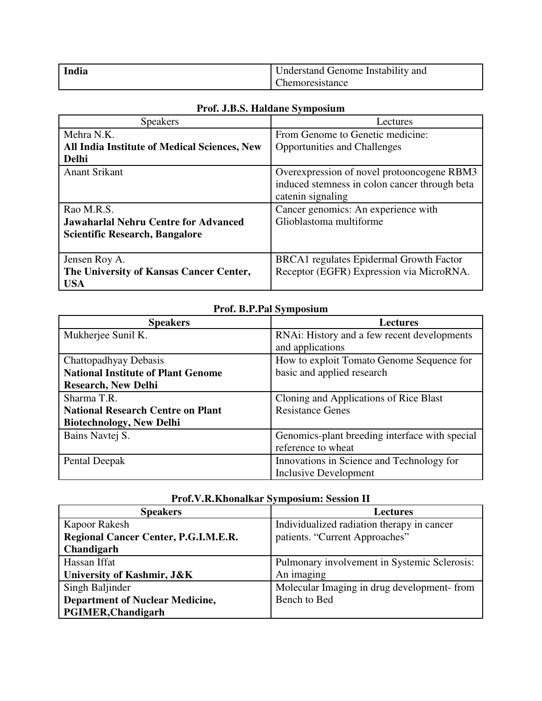| India | Understand Genome Instability and |
|-------|-----------------------------------|
|       | Chemoresistance                   |

### **Prof. J.B.S. Haldane Symposium**

| <b>Speakers</b>                              | Lectures                                      |
|----------------------------------------------|-----------------------------------------------|
| Mehra N.K.                                   | From Genome to Genetic medicine:              |
| All India Institute of Medical Sciences, New | <b>Opportunities and Challenges</b>           |
| <b>Delhi</b>                                 |                                               |
| <b>Anant Srikant</b>                         | Overexpression of novel protooncogene RBM3    |
|                                              | induced stemness in colon cancer through beta |
|                                              | catenin signaling                             |
| Rao M.R.S.                                   | Cancer genomics: An experience with           |
| <b>Jawaharlal Nehru Centre for Advanced</b>  | Glioblastoma multiforme                       |
| <b>Scientific Research, Bangalore</b>        |                                               |
|                                              |                                               |
| Jensen Roy A.                                | BRCA1 regulates Epidermal Growth Factor       |
| The University of Kansas Cancer Center,      | Receptor (EGFR) Expression via MicroRNA.      |
| <b>USA</b>                                   |                                               |

### **Prof. B.P.Pal Symposium**

| <b>Speakers</b>                           | <b>Lectures</b>                                |
|-------------------------------------------|------------------------------------------------|
| Mukherjee Sunil K.                        | RNAi: History and a few recent developments    |
|                                           | and applications                               |
| Chattopadhyay Debasis                     | How to exploit Tomato Genome Sequence for      |
| <b>National Institute of Plant Genome</b> | basic and applied research                     |
| <b>Research, New Delhi</b>                |                                                |
| Sharma T.R.                               | Cloning and Applications of Rice Blast         |
| <b>National Research Centre on Plant</b>  | <b>Resistance Genes</b>                        |
| <b>Biotechnology, New Delhi</b>           |                                                |
| Bains Navtej S.                           | Genomics-plant breeding interface with special |
|                                           | reference to wheat                             |
| Pental Deepak                             | Innovations in Science and Technology for      |
|                                           | <b>Inclusive Development</b>                   |

| ттоп, тамамонинит рушрожит, режисп н        |                                              |
|---------------------------------------------|----------------------------------------------|
| <b>Speakers</b>                             | <b>Lectures</b>                              |
| Kapoor Rakesh                               | Individualized radiation therapy in cancer   |
| <b>Regional Cancer Center, P.G.I.M.E.R.</b> | patients. "Current Approaches"               |
| Chandigarh                                  |                                              |
| Hassan Iffat                                | Pulmonary involvement in Systemic Sclerosis: |
| University of Kashmir, J&K                  | An imaging                                   |
| Singh Baljinder                             | Molecular Imaging in drug development-from   |
| <b>Department of Nuclear Medicine,</b>      | Bench to Bed                                 |
| <b>PGIMER, Chandigarh</b>                   |                                              |

### **Prof.V.R.Khonalkar Symposium: Session II**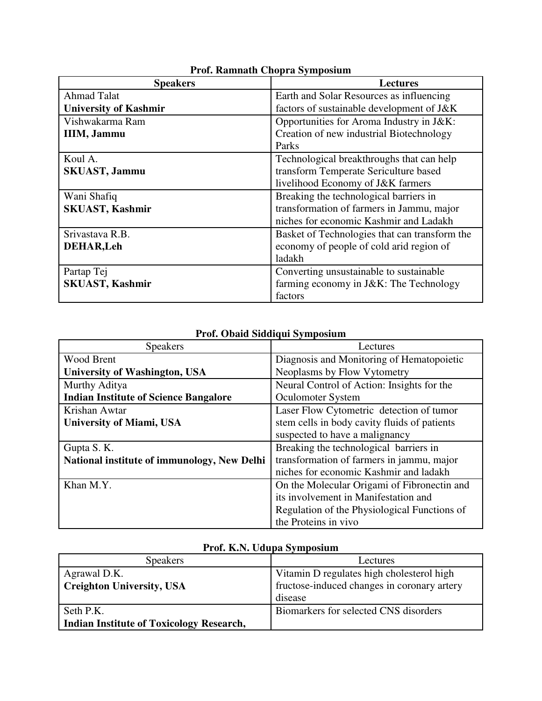| <b>Speakers</b>              | <b>Lectures</b>                               |
|------------------------------|-----------------------------------------------|
| <b>Ahmad Talat</b>           | Earth and Solar Resources as influencing      |
| <b>University of Kashmir</b> | factors of sustainable development of J&K     |
| Vishwakarma Ram              | Opportunities for Aroma Industry in J&K:      |
| <b>IIIM, Jammu</b>           | Creation of new industrial Biotechnology      |
|                              | Parks                                         |
| Koul A.                      | Technological breakthroughs that can help     |
| <b>SKUAST, Jammu</b>         | transform Temperate Sericulture based         |
|                              | livelihood Economy of J&K farmers             |
| Wani Shafiq                  | Breaking the technological barriers in        |
| <b>SKUAST, Kashmir</b>       | transformation of farmers in Jammu, major     |
|                              | niches for economic Kashmir and Ladakh        |
| Srivastava R.B.              | Basket of Technologies that can transform the |
| <b>DEHAR, Leh</b>            | economy of people of cold arid region of      |
|                              | ladakh                                        |
| Partap Tej                   | Converting unsustainable to sustainable       |
| <b>SKUAST, Kashmir</b>       | farming economy in J&K: The Technology        |
|                              | factors                                       |

### **Prof. Ramnath Chopra Symposium**

# **Prof. Obaid Siddiqui Symposium**

| <b>Speakers</b>                              | Lectures                                     |
|----------------------------------------------|----------------------------------------------|
| Wood Brent                                   | Diagnosis and Monitoring of Hematopoietic    |
| <b>University of Washington, USA</b>         | Neoplasms by Flow Vytometry                  |
| Murthy Aditya                                | Neural Control of Action: Insights for the   |
| <b>Indian Institute of Science Bangalore</b> | Oculomoter System                            |
| Krishan Awtar                                | Laser Flow Cytometric detection of tumor     |
| <b>University of Miami, USA</b>              | stem cells in body cavity fluids of patients |
|                                              | suspected to have a malignancy               |
| Gupta S. K.                                  | Breaking the technological barriers in       |
| National institute of immunology, New Delhi  | transformation of farmers in jammu, major    |
|                                              | niches for economic Kashmir and ladakh       |
| Khan M.Y.                                    | On the Molecular Origami of Fibronectin and  |
|                                              | its involvement in Manifestation and         |
|                                              | Regulation of the Physiological Functions of |
|                                              | the Proteins in vivo                         |

| <b>Speakers</b>                                 | Lectures                                    |
|-------------------------------------------------|---------------------------------------------|
| Agrawal D.K.                                    | Vitamin D regulates high cholesterol high   |
| <b>Creighton University, USA</b>                | fructose-induced changes in coronary artery |
|                                                 | disease                                     |
| Seth P.K.                                       | Biomarkers for selected CNS disorders       |
| <b>Indian Institute of Toxicology Research,</b> |                                             |

# **Prof. K.N. Udupa Symposium**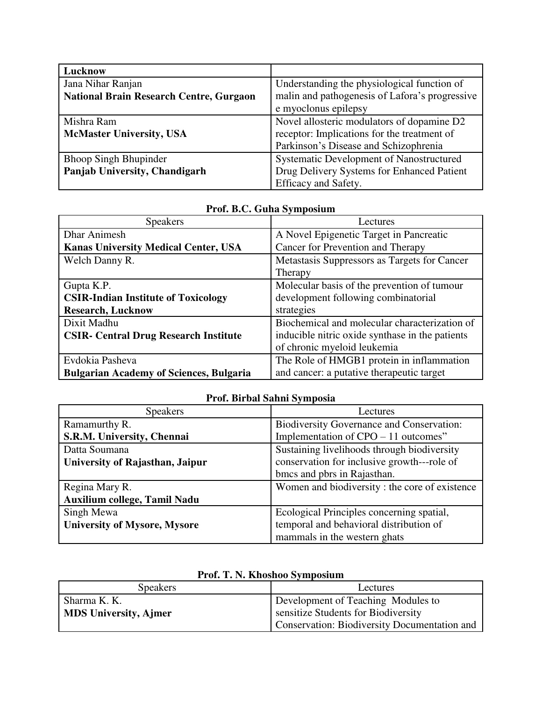| Lucknow                                        |                                                |
|------------------------------------------------|------------------------------------------------|
| Jana Nihar Ranjan                              | Understanding the physiological function of    |
| <b>National Brain Research Centre, Gurgaon</b> | malin and pathogenesis of Lafora's progressive |
|                                                | e myoclonus epilepsy                           |
| Mishra Ram                                     | Novel allosteric modulators of dopamine D2     |
| <b>McMaster University, USA</b>                | receptor: Implications for the treatment of    |
|                                                | Parkinson's Disease and Schizophrenia          |
| <b>Bhoop Singh Bhupinder</b>                   | Systematic Development of Nanostructured       |
| Panjab University, Chandigarh                  | Drug Delivery Systems for Enhanced Patient     |
|                                                | Efficacy and Safety.                           |

| <b>Speakers</b>                                | Lectures                                        |
|------------------------------------------------|-------------------------------------------------|
| <b>Dhar Animesh</b>                            | A Novel Epigenetic Target in Pancreatic         |
| <b>Kanas University Medical Center, USA</b>    | Cancer for Prevention and Therapy               |
| Welch Danny R.                                 | Metastasis Suppressors as Targets for Cancer    |
|                                                | Therapy                                         |
| Gupta K.P.                                     | Molecular basis of the prevention of tumour     |
| <b>CSIR-Indian Institute of Toxicology</b>     | development following combinatorial             |
| <b>Research, Lucknow</b>                       | strategies                                      |
| Dixit Madhu                                    | Biochemical and molecular characterization of   |
| <b>CSIR- Central Drug Research Institute</b>   | inducible nitric oxide synthase in the patients |
|                                                | of chronic myeloid leukemia                     |
| Evdokia Pasheva                                | The Role of HMGB1 protein in inflammation       |
| <b>Bulgarian Academy of Sciences, Bulgaria</b> | and cancer: a putative therapeutic target       |

#### **Prof. B.C. Guha Symposium**

| Prof. Birbal Sahni Symposia         |                                                  |
|-------------------------------------|--------------------------------------------------|
| <b>Speakers</b>                     | Lectures                                         |
| Ramamurthy R.                       | <b>Biodiversity Governance and Conservation:</b> |
| S.R.M. University, Chennai          | Implementation of $CPO - 11$ outcomes"           |
| Datta Soumana                       | Sustaining livelihoods through biodiversity      |
| University of Rajasthan, Jaipur     | conservation for inclusive growth---role of      |
|                                     | bmcs and pbrs in Rajasthan.                      |
| Regina Mary R.                      | Women and biodiversity: the core of existence    |
| <b>Auxilium college, Tamil Nadu</b> |                                                  |
| Singh Mewa                          | Ecological Principles concerning spatial,        |
| <b>University of Mysore, Mysore</b> | temporal and behavioral distribution of          |
|                                     | mammals in the western ghats                     |

#### Speakers Lectures Sharma K. K. **MDS University, Ajmer**  Development of Teaching Modules to sensitize Students for Biodiversity Conservation: Biodiversity Documentation and

#### **Prof. T. N. Khoshoo Symposium**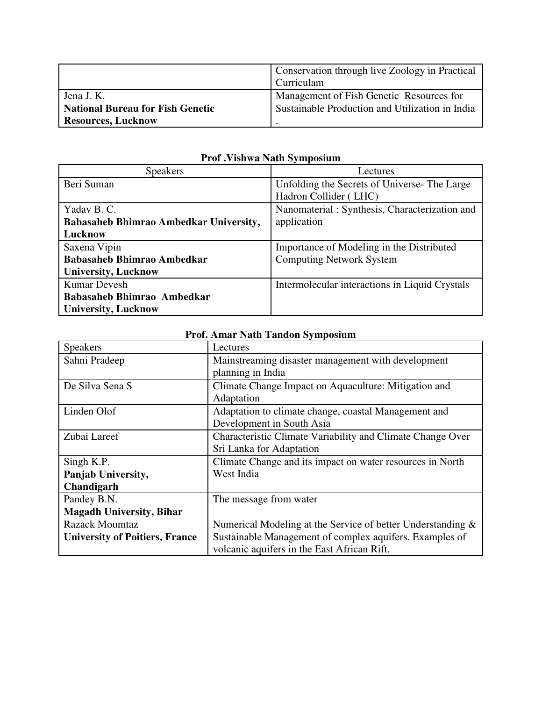|                                         | Conservation through live Zoology in Practical<br><b>Curriculam</b> |
|-----------------------------------------|---------------------------------------------------------------------|
|                                         |                                                                     |
| Jena J. K.                              | Management of Fish Genetic Resources for                            |
| <b>National Bureau for Fish Genetic</b> | Sustainable Production and Utilization in India                     |
| <b>Resources, Lucknow</b>               |                                                                     |

| <b>Speakers</b>                               | Lectures                                       |
|-----------------------------------------------|------------------------------------------------|
| Beri Suman                                    | Unfolding the Secrets of Universe-The Large    |
|                                               | Hadron Collider (LHC)                          |
| Yadav B. C.                                   | Nanomaterial: Synthesis, Characterization and  |
| <b>Babasaheb Bhimrao Ambedkar University,</b> | application                                    |
| Lucknow                                       |                                                |
|                                               |                                                |
| Saxena Vipin                                  | Importance of Modeling in the Distributed      |
| <b>Babasaheb Bhimrao Ambedkar</b>             | <b>Computing Network System</b>                |
| <b>University, Lucknow</b>                    |                                                |
| <b>Kumar Devesh</b>                           | Intermolecular interactions in Liquid Crystals |
| Babasaheb Bhimrao Ambedkar                    |                                                |

**Prof .Vishwa Nath Symposium** 

| Prof. Amar Nath Tandon Symposium      |                                                             |
|---------------------------------------|-------------------------------------------------------------|
| <b>Speakers</b>                       | Lectures                                                    |
| Sahni Pradeep                         | Mainstreaming disaster management with development          |
|                                       | planning in India                                           |
| De Silva Sena S                       | Climate Change Impact on Aquaculture: Mitigation and        |
|                                       | Adaptation                                                  |
| Linden Olof                           | Adaptation to climate change, coastal Management and        |
|                                       | Development in South Asia                                   |
| Zubai Lareef                          | Characteristic Climate Variability and Climate Change Over  |
|                                       | Sri Lanka for Adaptation                                    |
| Singh K.P.                            | Climate Change and its impact on water resources in North   |
| Panjab University,                    | West India                                                  |
| Chandigarh                            |                                                             |
| Pandey B.N.                           | The message from water                                      |
| <b>Magadh University, Bihar</b>       |                                                             |
| <b>Razack Moumtaz</b>                 | Numerical Modeling at the Service of better Understanding & |
| <b>University of Poitiers, France</b> | Sustainable Management of complex aquifers. Examples of     |
|                                       | volcanic aquifers in the East African Rift.                 |

### **Prof. Amar Nath Tandon Symposium**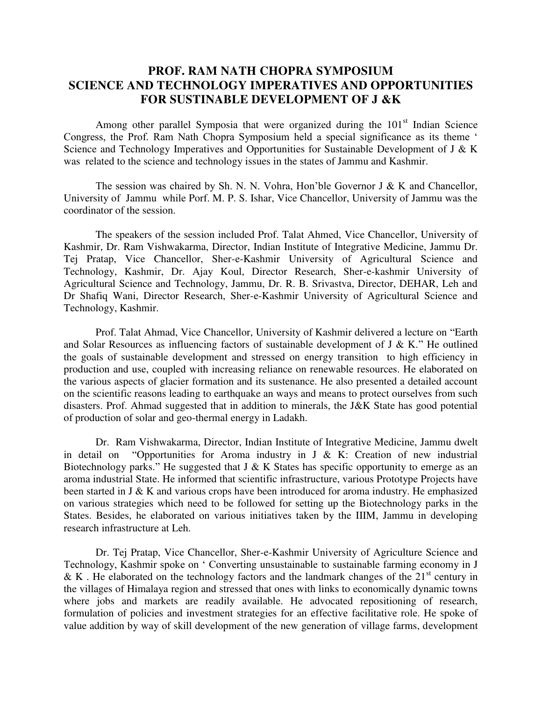### **PROF. RAM NATH CHOPRA SYMPOSIUM SCIENCE AND TECHNOLOGY IMPERATIVES AND OPPORTUNITIES FOR SUSTINABLE DEVELOPMENT OF J &K**

Among other parallel Symposia that were organized during the  $101<sup>st</sup>$  Indian Science Congress, the Prof. Ram Nath Chopra Symposium held a special significance as its theme ' Science and Technology Imperatives and Opportunities for Sustainable Development of J & K was related to the science and technology issues in the states of Jammu and Kashmir.

The session was chaired by Sh. N. N. Vohra, Hon'ble Governor J  $\&$  K and Chancellor, University of Jammu while Porf. M. P. S. Ishar, Vice Chancellor, University of Jammu was the coordinator of the session.

The speakers of the session included Prof. Talat Ahmed, Vice Chancellor, University of Kashmir, Dr. Ram Vishwakarma, Director, Indian Institute of Integrative Medicine, Jammu Dr. Tej Pratap, Vice Chancellor, Sher-e-Kashmir University of Agricultural Science and Technology, Kashmir, Dr. Ajay Koul, Director Research, Sher-e-kashmir University of Agricultural Science and Technology, Jammu, Dr. R. B. Srivastva, Director, DEHAR, Leh and Dr Shafiq Wani, Director Research, Sher-e-Kashmir University of Agricultural Science and Technology, Kashmir.

Prof. Talat Ahmad, Vice Chancellor, University of Kashmir delivered a lecture on "Earth and Solar Resources as influencing factors of sustainable development of  $J \& K$ ." He outlined the goals of sustainable development and stressed on energy transition to high efficiency in production and use, coupled with increasing reliance on renewable resources. He elaborated on the various aspects of glacier formation and its sustenance. He also presented a detailed account on the scientific reasons leading to earthquake an ways and means to protect ourselves from such disasters. Prof. Ahmad suggested that in addition to minerals, the J&K State has good potential of production of solar and geo-thermal energy in Ladakh.

Dr. Ram Vishwakarma, Director, Indian Institute of Integrative Medicine, Jammu dwelt in detail on "Opportunities for Aroma industry in J & K: Creation of new industrial Biotechnology parks." He suggested that  $J \& K$  States has specific opportunity to emerge as an aroma industrial State. He informed that scientific infrastructure, various Prototype Projects have been started in J & K and various crops have been introduced for aroma industry. He emphasized on various strategies which need to be followed for setting up the Biotechnology parks in the States. Besides, he elaborated on various initiatives taken by the IIIM, Jammu in developing research infrastructure at Leh.

Dr. Tej Pratap, Vice Chancellor, Sher-e-Kashmir University of Agriculture Science and Technology, Kashmir spoke on ' Converting unsustainable to sustainable farming economy in J & K. He elaborated on the technology factors and the landmark changes of the  $21<sup>st</sup>$  century in the villages of Himalaya region and stressed that ones with links to economically dynamic towns where jobs and markets are readily available. He advocated repositioning of research, formulation of policies and investment strategies for an effective facilitative role. He spoke of value addition by way of skill development of the new generation of village farms, development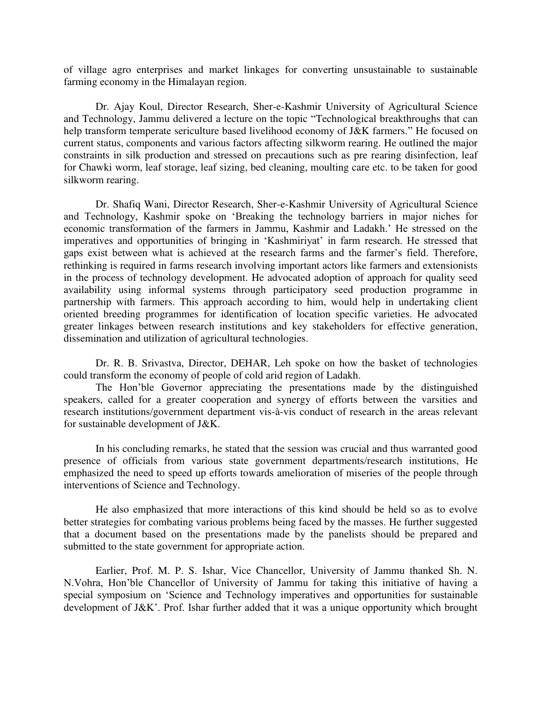of village agro enterprises and market linkages for converting unsustainable to sustainable farming economy in the Himalayan region.

Dr. Ajay Koul, Director Research, Sher-e-Kashmir University of Agricultural Science and Technology, Jammu delivered a lecture on the topic "Technological breakthroughs that can help transform temperate sericulture based livelihood economy of J&K farmers." He focused on current status, components and various factors affecting silkworm rearing. He outlined the major constraints in silk production and stressed on precautions such as pre rearing disinfection, leaf for Chawki worm, leaf storage, leaf sizing, bed cleaning, moulting care etc. to be taken for good silkworm rearing.

Dr. Shafiq Wani, Director Research, Sher-e-Kashmir University of Agricultural Science and Technology, Kashmir spoke on 'Breaking the technology barriers in major niches for economic transformation of the farmers in Jammu, Kashmir and Ladakh.' He stressed on the imperatives and opportunities of bringing in 'Kashmiriyat' in farm research. He stressed that gaps exist between what is achieved at the research farms and the farmer's field. Therefore, rethinking is required in farms research involving important actors like farmers and extensionists in the process of technology development. He advocated adoption of approach for quality seed availability using informal systems through participatory seed production programme in partnership with farmers. This approach according to him, would help in undertaking client oriented breeding programmes for identification of location specific varieties. He advocated greater linkages between research institutions and key stakeholders for effective generation, dissemination and utilization of agricultural technologies.

Dr. R. B. Srivastva, Director, DEHAR, Leh spoke on how the basket of technologies could transform the economy of people of cold arid region of Ladakh.

The Hon'ble Governor appreciating the presentations made by the distinguished speakers, called for a greater cooperation and synergy of efforts between the varsities and research institutions/government department vis-à-vis conduct of research in the areas relevant for sustainable development of J&K.

In his concluding remarks, he stated that the session was crucial and thus warranted good presence of officials from various state government departments/research institutions, He emphasized the need to speed up efforts towards amelioration of miseries of the people through interventions of Science and Technology.

He also emphasized that more interactions of this kind should be held so as to evolve better strategies for combating various problems being faced by the masses. He further suggested that a document based on the presentations made by the panelists should be prepared and submitted to the state government for appropriate action.

Earlier, Prof. M. P. S. Ishar, Vice Chancellor, University of Jammu thanked Sh. N. N.Vohra, Hon'ble Chancellor of University of Jammu for taking this initiative of having a special symposium on 'Science and Technology imperatives and opportunities for sustainable development of J&K'. Prof. Ishar further added that it was a unique opportunity which brought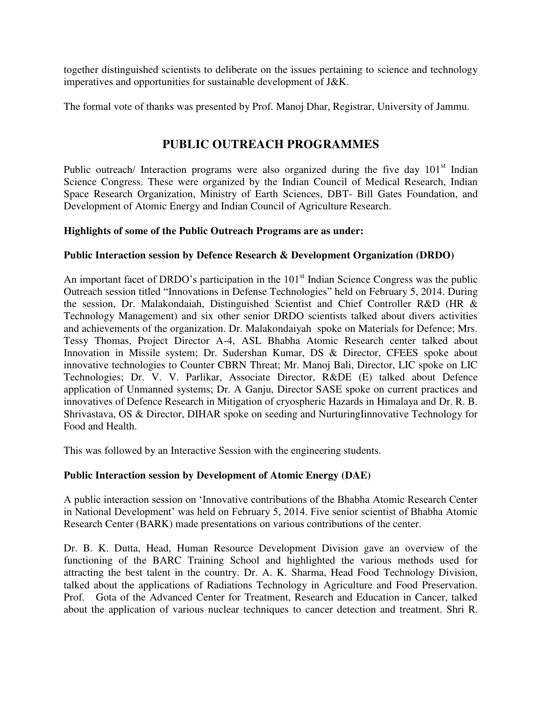together distinguished scientists to deliberate on the issues pertaining to science and technology imperatives and opportunities for sustainable development of J&K.

The formal vote of thanks was presented by Prof. Manoj Dhar, Registrar, University of Jammu.

### **PUBLIC OUTREACH PROGRAMMES**

Public outreach/ Interaction programs were also organized during the five day  $101<sup>st</sup>$  Indian Science Congress. These were organized by the Indian Council of Medical Research, Indian Space Research Organization, Ministry of Earth Sciences, DBT- Bill Gates Foundation, and Development of Atomic Energy and Indian Council of Agriculture Research.

#### **Highlights of some of the Public Outreach Programs are as under:**

#### **Public Interaction session by Defence Research & Development Organization (DRDO)**

An important facet of DRDO's participation in the  $101<sup>st</sup>$  Indian Science Congress was the public Outreach session titled "Innovations in Defense Technologies" held on February 5, 2014. During the session, Dr. Malakondaiah, Distinguished Scientist and Chief Controller R&D (HR & Technology Management) and six other senior DRDO scientists talked about divers activities and achievements of the organization. Dr. Malakondaiyah spoke on Materials for Defence; Mrs. Tessy Thomas, Project Director A-4, ASL Bhabha Atomic Research center talked about Innovation in Missile system; Dr. Sudershan Kumar, DS & Director, CFEES spoke about innovative technologies to Counter CBRN Threat; Mr. Manoj Bali, Director, LIC spoke on LIC Technologies; Dr. V. V. Parlikar, Associate Director, R&DE (E) talked about Defence application of Unmanned systems; Dr. A Ganju, Director SASE spoke on current practices and innovatives of Defence Research in Mitigation of cryospheric Hazards in Himalaya and Dr. R. B. Shrivastava, OS & Director, DIHAR spoke on seeding and NurturingIinnovative Technology for Food and Health.

This was followed by an Interactive Session with the engineering students.

#### **Public Interaction session by Development of Atomic Energy (DAE)**

A public interaction session on 'Innovative contributions of the Bhabha Atomic Research Center in National Development' was held on February 5, 2014. Five senior scientist of Bhabha Atomic Research Center (BARK) made presentations on various contributions of the center.

Dr. B. K. Dutta, Head, Human Resource Development Division gave an overview of the functioning of the BARC Training School and highlighted the various methods used for attracting the best talent in the country. Dr. A. K. Sharma, Head Food Technology Division, talked about the applications of Radiations Technology in Agriculture and Food Preservation. Prof. Gota of the Advanced Center for Treatment, Research and Education in Cancer, talked about the application of various nuclear techniques to cancer detection and treatment. Shri R.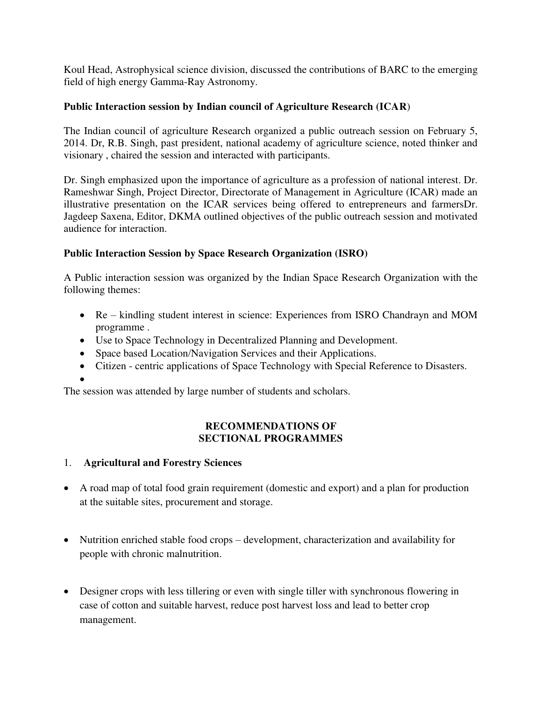Koul Head, Astrophysical science division, discussed the contributions of BARC to the emerging field of high energy Gamma-Ray Astronomy.

#### **Public Interaction session by Indian council of Agriculture Research (ICAR**)

The Indian council of agriculture Research organized a public outreach session on February 5, 2014. Dr, R.B. Singh, past president, national academy of agriculture science, noted thinker and visionary , chaired the session and interacted with participants.

Dr. Singh emphasized upon the importance of agriculture as a profession of national interest. Dr. Rameshwar Singh, Project Director, Directorate of Management in Agriculture (ICAR) made an illustrative presentation on the ICAR services being offered to entrepreneurs and farmersDr. Jagdeep Saxena, Editor, DKMA outlined objectives of the public outreach session and motivated audience for interaction.

#### **Public Interaction Session by Space Research Organization (ISRO)**

A Public interaction session was organized by the Indian Space Research Organization with the following themes:

- Re kindling student interest in science: Experiences from ISRO Chandrayn and MOM programme .
- Use to Space Technology in Decentralized Planning and Development.
- Space based Location/Navigation Services and their Applications.
- Citizen centric applications of Space Technology with Special Reference to Disasters.

 $\bullet$ 

The session was attended by large number of students and scholars.

#### **RECOMMENDATIONS OF SECTIONAL PROGRAMMES**

#### 1. **Agricultural and Forestry Sciences**

- A road map of total food grain requirement (domestic and export) and a plan for production at the suitable sites, procurement and storage.
- Nutrition enriched stable food crops development, characterization and availability for people with chronic malnutrition.
- Designer crops with less tillering or even with single tiller with synchronous flowering in case of cotton and suitable harvest, reduce post harvest loss and lead to better crop management.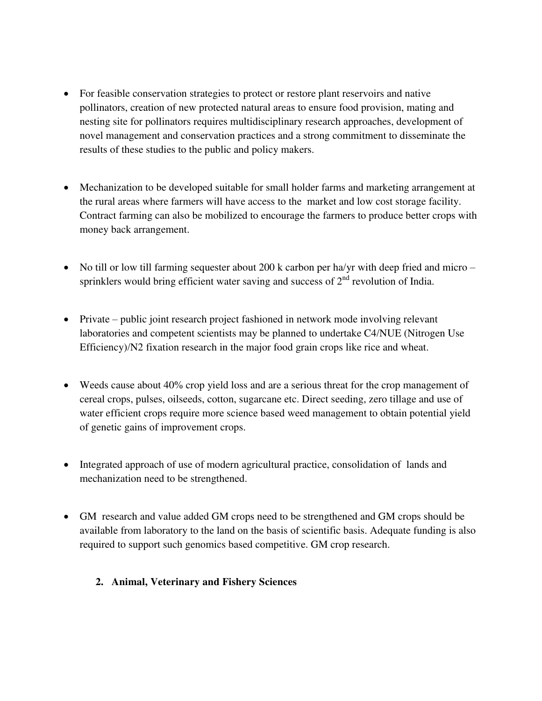- For feasible conservation strategies to protect or restore plant reservoirs and native pollinators, creation of new protected natural areas to ensure food provision, mating and nesting site for pollinators requires multidisciplinary research approaches, development of novel management and conservation practices and a strong commitment to disseminate the results of these studies to the public and policy makers.
- Mechanization to be developed suitable for small holder farms and marketing arrangement at the rural areas where farmers will have access to the market and low cost storage facility. Contract farming can also be mobilized to encourage the farmers to produce better crops with money back arrangement.
- No till or low till farming sequester about 200 k carbon per ha/yr with deep fried and micro sprinklers would bring efficient water saving and success of  $2<sup>nd</sup>$  revolution of India.
- Private public joint research project fashioned in network mode involving relevant laboratories and competent scientists may be planned to undertake C4/NUE (Nitrogen Use Efficiency)/N2 fixation research in the major food grain crops like rice and wheat.
- Weeds cause about 40% crop yield loss and are a serious threat for the crop management of cereal crops, pulses, oilseeds, cotton, sugarcane etc. Direct seeding, zero tillage and use of water efficient crops require more science based weed management to obtain potential yield of genetic gains of improvement crops.
- Integrated approach of use of modern agricultural practice, consolidation of lands and mechanization need to be strengthened.
- GM research and value added GM crops need to be strengthened and GM crops should be available from laboratory to the land on the basis of scientific basis. Adequate funding is also required to support such genomics based competitive. GM crop research.
	- **2. Animal, Veterinary and Fishery Sciences**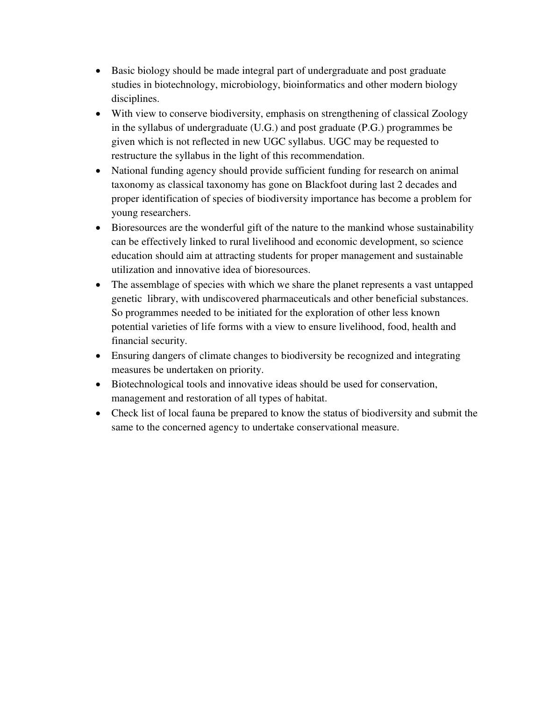- Basic biology should be made integral part of undergraduate and post graduate studies in biotechnology, microbiology, bioinformatics and other modern biology disciplines.
- With view to conserve biodiversity, emphasis on strengthening of classical Zoology in the syllabus of undergraduate (U.G.) and post graduate (P.G.) programmes be given which is not reflected in new UGC syllabus. UGC may be requested to restructure the syllabus in the light of this recommendation.
- National funding agency should provide sufficient funding for research on animal taxonomy as classical taxonomy has gone on Blackfoot during last 2 decades and proper identification of species of biodiversity importance has become a problem for young researchers.
- Bioresources are the wonderful gift of the nature to the mankind whose sustainability can be effectively linked to rural livelihood and economic development, so science education should aim at attracting students for proper management and sustainable utilization and innovative idea of bioresources.
- The assemblage of species with which we share the planet represents a vast untapped genetic library, with undiscovered pharmaceuticals and other beneficial substances. So programmes needed to be initiated for the exploration of other less known potential varieties of life forms with a view to ensure livelihood, food, health and financial security.
- Ensuring dangers of climate changes to biodiversity be recognized and integrating measures be undertaken on priority.
- Biotechnological tools and innovative ideas should be used for conservation, management and restoration of all types of habitat.
- Check list of local fauna be prepared to know the status of biodiversity and submit the same to the concerned agency to undertake conservational measure.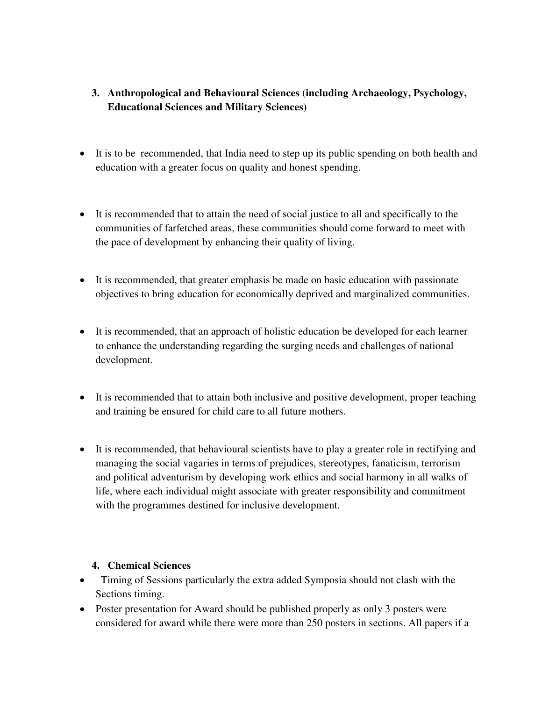- **3. Anthropological and Behavioural Sciences (including Archaeology, Psychology, Educational Sciences and Military Sciences)**
- It is to be recommended, that India need to step up its public spending on both health and education with a greater focus on quality and honest spending.
- It is recommended that to attain the need of social justice to all and specifically to the communities of farfetched areas, these communities should come forward to meet with the pace of development by enhancing their quality of living.
- It is recommended, that greater emphasis be made on basic education with passionate objectives to bring education for economically deprived and marginalized communities.
- It is recommended, that an approach of holistic education be developed for each learner to enhance the understanding regarding the surging needs and challenges of national development.
- It is recommended that to attain both inclusive and positive development, proper teaching and training be ensured for child care to all future mothers.
- It is recommended, that behavioural scientists have to play a greater role in rectifying and managing the social vagaries in terms of prejudices, stereotypes, fanaticism, terrorism and political adventurism by developing work ethics and social harmony in all walks of life, where each individual might associate with greater responsibility and commitment with the programmes destined for inclusive development.

#### **4. Chemical Sciences**

- Timing of Sessions particularly the extra added Symposia should not clash with the Sections timing.
- Poster presentation for Award should be published properly as only 3 posters were considered for award while there were more than 250 posters in sections. All papers if a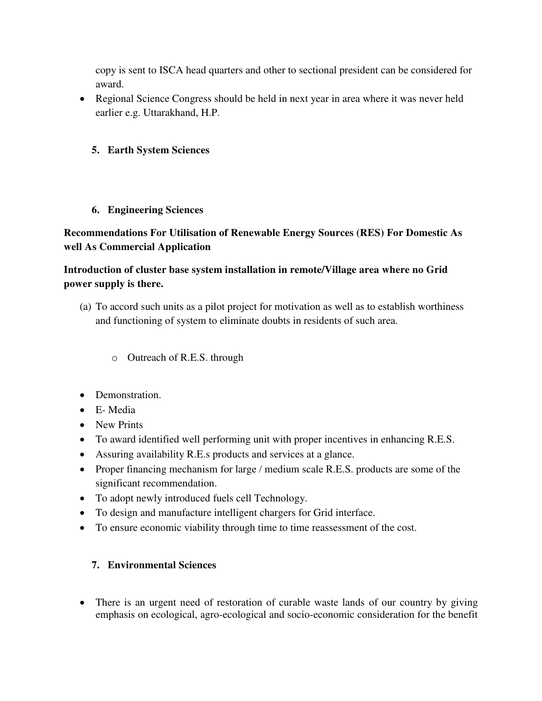copy is sent to ISCA head quarters and other to sectional president can be considered for award.

 Regional Science Congress should be held in next year in area where it was never held earlier e.g. Uttarakhand, H.P.

#### **5. Earth System Sciences**

#### **6. Engineering Sciences**

### **Recommendations For Utilisation of Renewable Energy Sources (RES) For Domestic As well As Commercial Application**

### **Introduction of cluster base system installation in remote/Village area where no Grid power supply is there.**

- (a) To accord such units as a pilot project for motivation as well as to establish worthiness and functioning of system to eliminate doubts in residents of such area.
	- o Outreach of R.E.S. through
- Demonstration.
- E- Media
- New Prints
- To award identified well performing unit with proper incentives in enhancing R.E.S.
- Assuring availability R.E.s products and services at a glance.
- Proper financing mechanism for large / medium scale R.E.S. products are some of the significant recommendation.
- To adopt newly introduced fuels cell Technology.
- To design and manufacture intelligent chargers for Grid interface.
- To ensure economic viability through time to time reassessment of the cost.

### **7. Environmental Sciences**

• There is an urgent need of restoration of curable waste lands of our country by giving emphasis on ecological, agro-ecological and socio-economic consideration for the benefit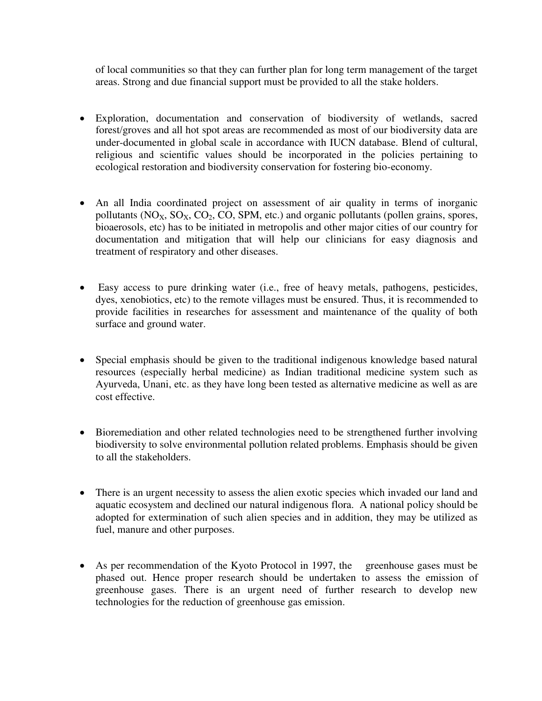of local communities so that they can further plan for long term management of the target areas. Strong and due financial support must be provided to all the stake holders.

- Exploration, documentation and conservation of biodiversity of wetlands, sacred forest/groves and all hot spot areas are recommended as most of our biodiversity data are under-documented in global scale in accordance with IUCN database. Blend of cultural, religious and scientific values should be incorporated in the policies pertaining to ecological restoration and biodiversity conservation for fostering bio-economy.
- An all India coordinated project on assessment of air quality in terms of inorganic pollutants  $(NO_X, SO_X, CO_2, CO_2, CO, SPM, etc.)$  and organic pollutants (pollen grains, spores, bioaerosols, etc) has to be initiated in metropolis and other major cities of our country for documentation and mitigation that will help our clinicians for easy diagnosis and treatment of respiratory and other diseases.
- Easy access to pure drinking water (i.e., free of heavy metals, pathogens, pesticides, dyes, xenobiotics, etc) to the remote villages must be ensured. Thus, it is recommended to provide facilities in researches for assessment and maintenance of the quality of both surface and ground water.
- Special emphasis should be given to the traditional indigenous knowledge based natural resources (especially herbal medicine) as Indian traditional medicine system such as Ayurveda, Unani, etc. as they have long been tested as alternative medicine as well as are cost effective.
- Bioremediation and other related technologies need to be strengthened further involving biodiversity to solve environmental pollution related problems. Emphasis should be given to all the stakeholders.
- There is an urgent necessity to assess the alien exotic species which invaded our land and aquatic ecosystem and declined our natural indigenous flora. A national policy should be adopted for extermination of such alien species and in addition, they may be utilized as fuel, manure and other purposes.
- As per recommendation of the Kyoto Protocol in 1997, the greenhouse gases must be phased out. Hence proper research should be undertaken to assess the emission of greenhouse gases. There is an urgent need of further research to develop new technologies for the reduction of greenhouse gas emission.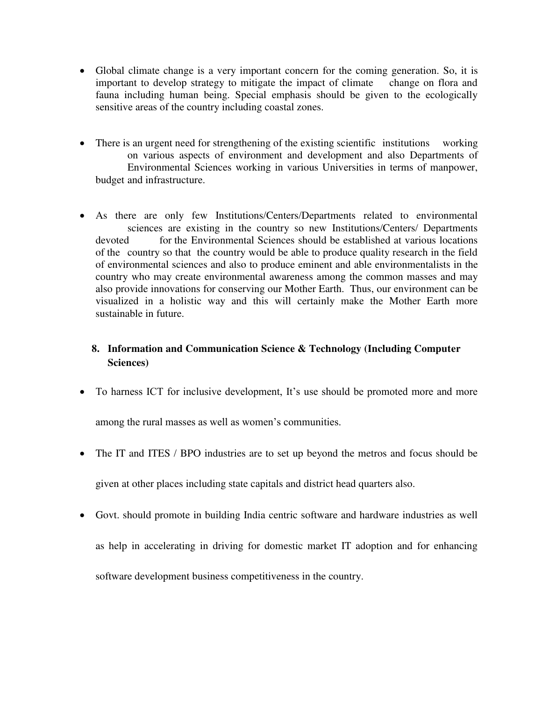- Global climate change is a very important concern for the coming generation. So, it is important to develop strategy to mitigate the impact of climate change on flora and fauna including human being. Special emphasis should be given to the ecologically sensitive areas of the country including coastal zones.
- There is an urgent need for strengthening of the existing scientific institutions working on various aspects of environment and development and also Departments of Environmental Sciences working in various Universities in terms of manpower, budget and infrastructure.
- As there are only few Institutions/Centers/Departments related to environmental sciences are existing in the country so new Institutions/Centers/ Departments devoted for the Environmental Sciences should be established at various locations of the country so that the country would be able to produce quality research in the field of environmental sciences and also to produce eminent and able environmentalists in the country who may create environmental awareness among the common masses and may also provide innovations for conserving our Mother Earth. Thus, our environment can be visualized in a holistic way and this will certainly make the Mother Earth more sustainable in future.

### **8. Information and Communication Science & Technology (Including Computer Sciences)**

To harness ICT for inclusive development, It's use should be promoted more and more

among the rural masses as well as women's communities.

- The IT and ITES / BPO industries are to set up beyond the metros and focus should be given at other places including state capitals and district head quarters also.
- Govt. should promote in building India centric software and hardware industries as well as help in accelerating in driving for domestic market IT adoption and for enhancing software development business competitiveness in the country.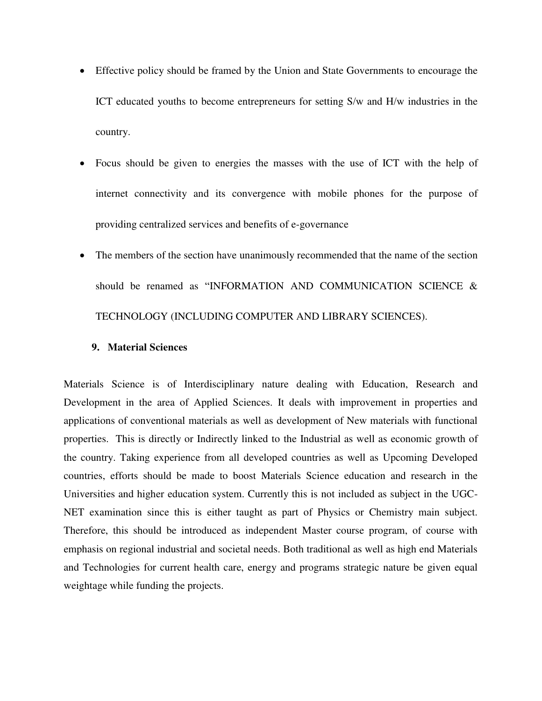- Effective policy should be framed by the Union and State Governments to encourage the ICT educated youths to become entrepreneurs for setting S/w and H/w industries in the country.
- Focus should be given to energies the masses with the use of ICT with the help of internet connectivity and its convergence with mobile phones for the purpose of providing centralized services and benefits of e-governance
- The members of the section have unanimously recommended that the name of the section should be renamed as "INFORMATION AND COMMUNICATION SCIENCE & TECHNOLOGY (INCLUDING COMPUTER AND LIBRARY SCIENCES).

#### **9. Material Sciences**

Materials Science is of Interdisciplinary nature dealing with Education, Research and Development in the area of Applied Sciences. It deals with improvement in properties and applications of conventional materials as well as development of New materials with functional properties. This is directly or Indirectly linked to the Industrial as well as economic growth of the country. Taking experience from all developed countries as well as Upcoming Developed countries, efforts should be made to boost Materials Science education and research in the Universities and higher education system. Currently this is not included as subject in the UGC-NET examination since this is either taught as part of Physics or Chemistry main subject. Therefore, this should be introduced as independent Master course program, of course with emphasis on regional industrial and societal needs. Both traditional as well as high end Materials and Technologies for current health care, energy and programs strategic nature be given equal weightage while funding the projects.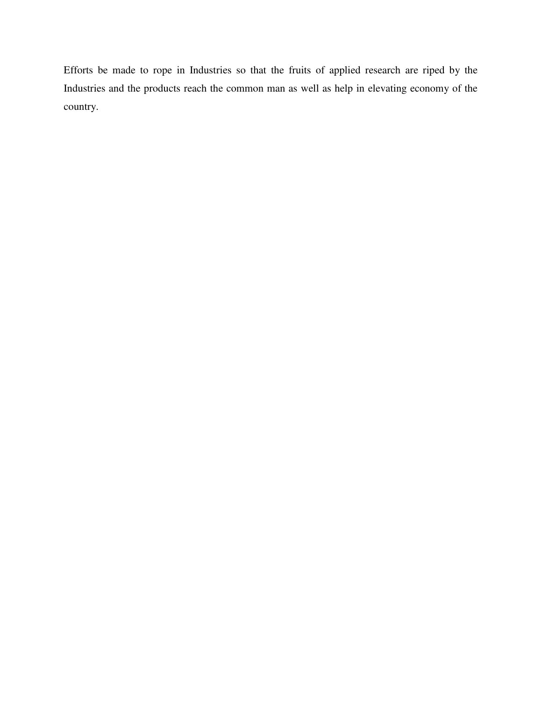Efforts be made to rope in Industries so that the fruits of applied research are riped by the Industries and the products reach the common man as well as help in elevating economy of the country.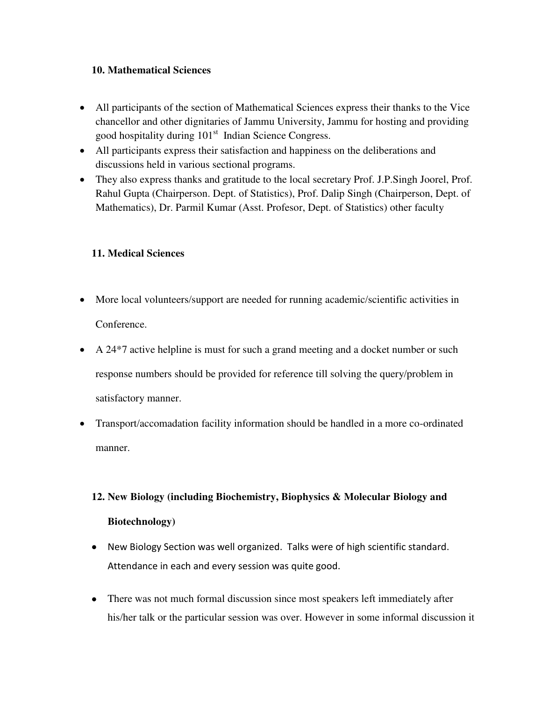#### **10. Mathematical Sciences**

- All participants of the section of Mathematical Sciences express their thanks to the Vice chancellor and other dignitaries of Jammu University, Jammu for hosting and providing good hospitality during 101<sup>st</sup> Indian Science Congress.
- All participants express their satisfaction and happiness on the deliberations and discussions held in various sectional programs.
- They also express thanks and gratitude to the local secretary Prof. J.P.Singh Joorel, Prof. Rahul Gupta (Chairperson. Dept. of Statistics), Prof. Dalip Singh (Chairperson, Dept. of Mathematics), Dr. Parmil Kumar (Asst. Profesor, Dept. of Statistics) other faculty

#### **11. Medical Sciences**

- More local volunteers/support are needed for running academic/scientific activities in Conference.
- A 24<sup>\*7</sup> active helpline is must for such a grand meeting and a docket number or such response numbers should be provided for reference till solving the query/problem in satisfactory manner.
- Transport/accomadation facility information should be handled in a more co-ordinated manner.

# **12. New Biology (including Biochemistry, Biophysics & Molecular Biology and**

#### **Biotechnology)**

- New Biology Section was well organized. Talks were of high scientific standard. Attendance in each and every session was quite good.
- There was not much formal discussion since most speakers left immediately after his/her talk or the particular session was over. However in some informal discussion it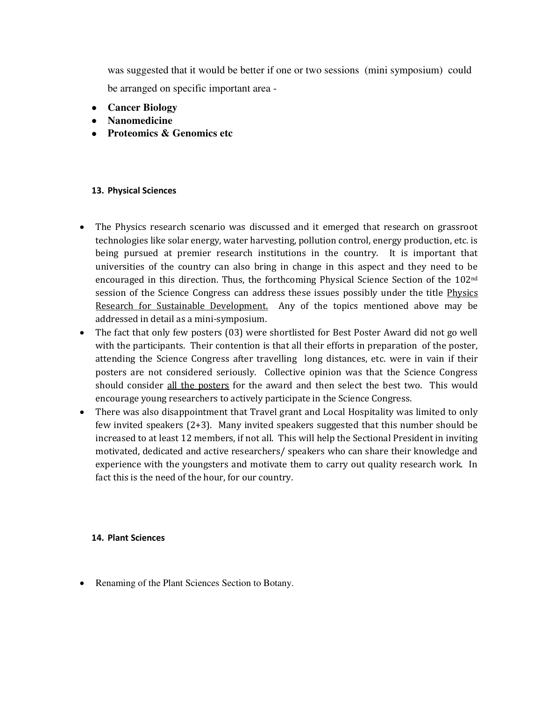was suggested that it would be better if one or two sessions (mini symposium) could be arranged on specific important area -

- **Cancer Biology**
- **Nanomedicine**
- **Proteomics & Genomics etc**

#### **13. Physical Sciences**

- The Physics research scenario was discussed and it emerged that research on grassroot technologies like solar energy, water harvesting, pollution control, energy production, etc. is being pursued at premier research institutions in the country. It is important that universities of the country can also bring in change in this aspect and they need to be encouraged in this direction. Thus, the forthcoming Physical Science Section of the 102nd session of the Science Congress can address these issues possibly under the title Physics Research for Sustainable Development. Any of the topics mentioned above may be addressed in detail as a mini-symposium.
- The fact that only few posters (03) were shortlisted for Best Poster Award did not go well with the participants. Their contention is that all their efforts in preparation of the poster, attending the Science Congress after travelling long distances, etc. were in vain if their posters are not considered seriously. Collective opinion was that the Science Congress should consider all the posters for the award and then select the best two. This would encourage young researchers to actively participate in the Science Congress.
- There was also disappointment that Travel grant and Local Hospitality was limited to only few invited speakers (2+3). Many invited speakers suggested that this number should be increased to at least 12 members, if not all. This will help the Sectional President in inviting motivated, dedicated and active researchers/ speakers who can share their knowledge and experience with the youngsters and motivate them to carry out quality research work. In fact this is the need of the hour, for our country.

#### **14. Plant Sciences**

• Renaming of the Plant Sciences Section to Botany.